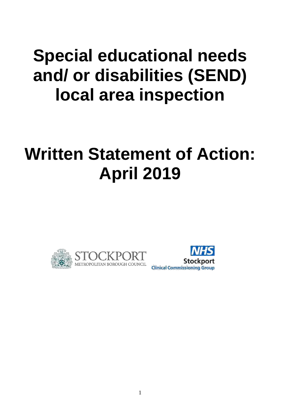# **Special educational needs and/ or disabilities (SEND) local area inspection**

# **Written Statement of Action: April 2019**



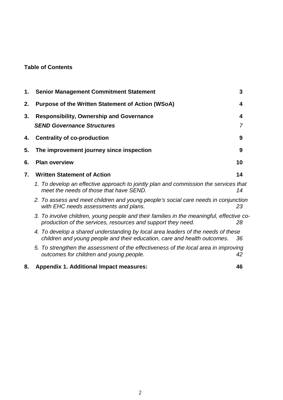## **Table of Contents**

| 1. | <b>Senior Management Commitment Statement</b>                                                                                                                | 3      |
|----|--------------------------------------------------------------------------------------------------------------------------------------------------------------|--------|
| 2. | <b>Purpose of the Written Statement of Action (WSoA)</b>                                                                                                     | 4      |
| 3. | <b>Responsibility, Ownership and Governance</b><br><b>SEND Governance Structures</b>                                                                         | 4<br>7 |
| 4. | <b>Centrality of co-production</b>                                                                                                                           | 9      |
| 5. | The improvement journey since inspection                                                                                                                     | 9      |
| 6. | <b>Plan overview</b>                                                                                                                                         | 10     |
| 7. | <b>Written Statement of Action</b>                                                                                                                           | 14     |
|    | 1. To develop an effective approach to jointly plan and commission the services that<br>meet the needs of those that have SEND.                              | 14     |
|    | 2. To assess and meet children and young people's social care needs in conjunction<br>with EHC needs assessments and plans.                                  | 23     |
|    | 3. To involve children, young people and their families in the meaningful, effective co-<br>production of the services, resources and support they need.     | 28     |
|    | 4. To develop a shared understanding by local area leaders of the needs of these<br>children and young people and their education, care and health outcomes. | 36     |
|    | 5. To strengthen the assessment of the effectiveness of the local area in improving<br>outcomes for children and young people.                               | 42     |
| 8. | <b>Appendix 1. Additional Impact measures:</b>                                                                                                               | 46     |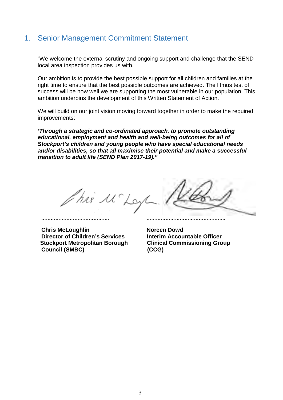## <span id="page-2-0"></span>1. Senior Management Commitment Statement

"We welcome the external scrutiny and ongoing support and challenge that the SEND local area inspection provides us with.

Our ambition is to provide the best possible support for all children and families at the right time to ensure that the best possible outcomes are achieved. The litmus test of success will be how well we are supporting the most vulnerable in our population. This ambition underpins the development of this Written Statement of Action.

We will build on our joint vision moving forward together in order to make the required improvements:

*'Through a strategic and co-ordinated approach, to promote outstanding educational, employment and health and well-being outcomes for all of Stockport's children and young people who have special educational needs and/or disabilities, so that all maximise their potential and make a successful transition to adult life (SEND Plan 2017-19)."*

*……………………………………. …………………………………………..* 

his Mc Ley

**Chris McLoughlin**<br>Director of Children's Services **Norman Accountable Officer Director of Children's Services Stockport Metropolitan Borough Clinical Commissioning Group Council (SMBC) (CCG)**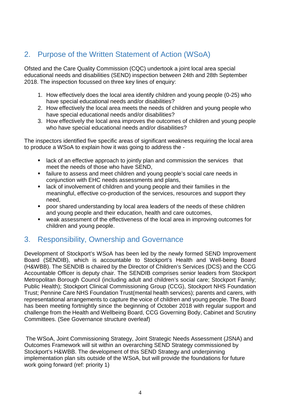# <span id="page-3-0"></span>2. Purpose of the Written Statement of Action (WSoA)

Ofsted and the Care Quality Commission (CQC) undertook a joint local area special educational needs and disabilities (SEND) inspection between 24th and 28th September 2018. The inspection focussed on three key lines of enquiry:

- 1. How effectively does the local area identify children and young people (0-25) who have special educational needs and/or disabilities?
- 2. How effectively the local area meets the needs of children and young people who have special educational needs and/or disabilities?
- 3. How effectively the local area improves the outcomes of children and young people who have special educational needs and/or disabilities?

The inspectors identified five specific areas of significant weakness requiring the local area to produce a WSoA to explain how it was going to address the -

- **EXECT** ack of an effective approach to jointly plan and commission the services that meet the needs of those who have SEND,
- failure to assess and meet children and young people's social care needs in conjunction with EHC needs assessments and plans,
- lack of involvement of children and young people and their families in the meaningful, effective co-production of the services, resources and support they need,
- poor shared understanding by local area leaders of the needs of these children and young people and their education, health and care outcomes,
- weak assessment of the effectiveness of the local area in improving outcomes for children and young people.

## <span id="page-3-1"></span>3. Responsibility, Ownership and Governance

Development of Stockport's WSoA has been led by the newly formed SEND Improvement Board (SENDIB), which is accountable to Stockport's Health and Well-being Board (H&WBB). The SENDIB is chaired by the Director of Children's Services (DCS) and the CCG Accountable Officer is deputy chair. The SENDIB comprises senior leaders from Stockport Metropolitan Borough Council (including adult and children's social care; Stockport Family; Public Health); Stockport Clinical Commissioning Group (CCG), Stockport NHS Foundation Trust; Pennine Care NHS Foundation Trust(mental health services); parents and carers, with representational arrangements to capture the voice of children and young people. The Board has been meeting fortnightly since the beginning of October 2018 with regular support and challenge from the Health and Wellbeing Board, CCG Governing Body, Cabinet and Scrutiny Committees. (See Governance structure overleaf)

The WSoA, Joint Commissioning Strategy, Joint Strategic Needs Assessment (JSNA) and Outcomes Framework will sit within an overarching SEND Strategy commissioned by Stockport's H&WBB. The development of this SEND Strategy and underpinning implementation plan sits outside of the WSoA, but will provide the foundations for future work going forward (ref: priority 1)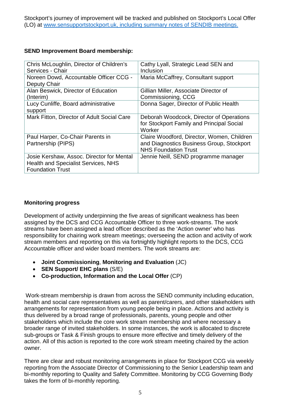Stockport's journey of improvement will be tracked and published on Stockport's Local Offer (LO) at [www.sensupportstockport.uk,](http://www.sensupportstockport.uk/) including summary notes of SENDIB meetings.

#### **SEND Improvement Board membership:**

| Chris McLoughlin, Director of Children's<br>Services - Chair                                                       | Cathy Lyall, Strategic Lead SEN and<br>Inclusion                                                                       |
|--------------------------------------------------------------------------------------------------------------------|------------------------------------------------------------------------------------------------------------------------|
| Noreen Dowd, Accountable Officer CCG -<br>Deputy Chair                                                             | Maria McCaffrey, Consultant support                                                                                    |
| Alan Beswick, Director of Education<br>(Interim)                                                                   | Gillian Miller, Associate Director of<br>Commissioning, CCG                                                            |
| Lucy Cunliffe, Board administrative<br>support                                                                     | Donna Sager, Director of Public Health                                                                                 |
| Mark Fitton, Director of Adult Social Care                                                                         | Deborah Woodcock, Director of Operations<br>for Stockport Family and Principal Social<br>Worker                        |
| Paul Harper, Co-Chair Parents in<br>Partnership (PIPS)                                                             | Claire Woodford, Director, Women, Children<br>and Diagnostics Business Group, Stockport<br><b>NHS Foundation Trust</b> |
| Josie Kershaw, Assoc. Director for Mental<br><b>Health and Specialist Services, NHS</b><br><b>Foundation Trust</b> | Jennie Neill, SEND programme manager                                                                                   |

#### **Monitoring progress**

Development of activity underpinning the five areas of significant weakness has been assigned by the DCS and CCG Accountable Officer to three work-streams. The work streams have been assigned a lead officer described as the 'Action owner' who has responsibility for chairing work stream meetings; overseeing the action and activity of work stream members and reporting on this via fortnightly highlight reports to the DCS, CCG Accountable officer and wider board members. The work streams are:

- **Joint Commissioning**, **Monitoring and Evaluation** (JC)
- **SEN Support/ EHC plans** (S/E)
- **Co-production, Information and the Local Offer** (CP)

Work-stream membership is drawn from across the SEND community including education, health and social care representatives as well as parent/carers, and other stakeholders with arrangements for representation from young people being in place. Actions and activity is thus delivered by a broad range of professionals, parents, young people and other stakeholders which include the core work stream membership and where necessary a broader range of invited stakeholders. In some instances, the work is allocated to discrete sub-groups or Task & Finish groups to ensure more effective and timely delivery of the action. All of this action is reported to the core work stream meeting chaired by the action owner.

There are clear and robust monitoring arrangements in place for Stockport CCG via weekly reporting from the Associate Director of Commissioning to the Senior Leadership team and bi-monthly reporting to Quality and Safety Committee. Monitoring by CCG Governing Body takes the form of bi-monthly reporting.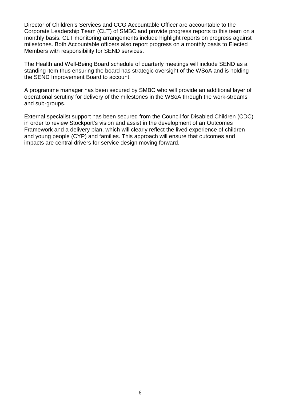Director of Children's Services and CCG Accountable Officer are accountable to the Corporate Leadership Team (CLT) of SMBC and provide progress reports to this team on a monthly basis. CLT monitoring arrangements include highlight reports on progress against milestones. Both Accountable officers also report progress on a monthly basis to Elected Members with responsibility for SEND services.

The Health and Well-Being Board schedule of quarterly meetings will include SEND as a standing item thus ensuring the board has strategic oversight of the WSoA and is holding the SEND Improvement Board to account.

A programme manager has been secured by SMBC who will provide an additional layer of operational scrutiny for delivery of the milestones in the WSoA through the work-streams and sub-groups.

External specialist support has been secured from the Council for Disabled Children (CDC) in order to review Stockport's vision and assist in the development of an Outcomes Framework and a delivery plan, which will clearly reflect the lived experience of children and young people (CYP) and families. This approach will ensure that outcomes and impacts are central drivers for service design moving forward.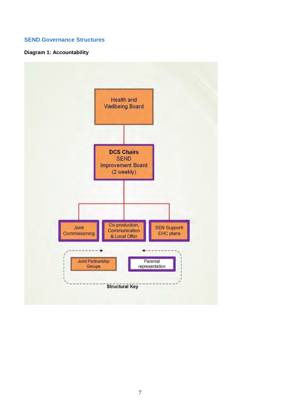#### <span id="page-6-0"></span>**SEND Governance Structures**

#### **Diagram 1: Accountability**

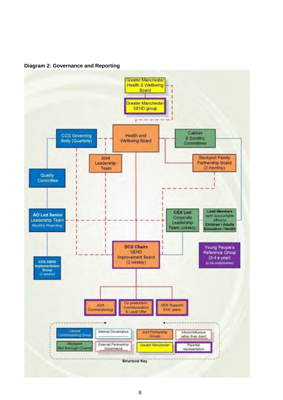**Diagram 2: Governance and Reporting**

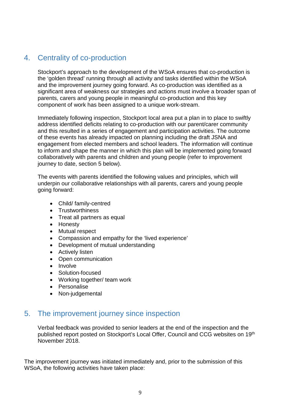## <span id="page-8-0"></span>4. Centrality of co-production

Stockport's approach to the development of the WSoA ensures that co-production is the 'golden thread' running through all activity and tasks identified within the WSoA and the improvement journey going forward. As co-production was identified as a significant area of weakness our strategies and actions must involve a broader span of parents, carers and young people in meaningful co-production and this key component of work has been assigned to a unique work-stream.

Immediately following inspection, Stockport local area put a plan in to place to swiftly address identified deficits relating to co-production with our parent/carer community and this resulted in a series of engagement and participation activities. The outcome of these events has already impacted on planning including the draft JSNA and engagement from elected members and school leaders. The information will continue to inform and shape the manner in which this plan will be implemented going forward collaboratively with parents and children and young people (refer to improvement journey to date, section 5 below).

The events with parents identified the following values and principles, which will underpin our collaborative relationships with all parents, carers and young people going forward:

- Child/ family-centred
- Trustworthiness
- Treat all partners as equal
- Honesty
- Mutual respect
- Compassion and empathy for the 'lived experience'
- Development of mutual understanding
- Actively listen
- Open communication
- Involve
- Solution-focused
- Working together/ team work
- Personalise
- Non-judgemental

### <span id="page-8-1"></span>5. The improvement journey since inspection

Verbal feedback was provided to senior leaders at the end of the inspection and the published report posted on Stockport's Local Offer, Council and CCG websites on 19th November 2018.

The improvement journey was initiated immediately and, prior to the submission of this WSoA, the following activities have taken place: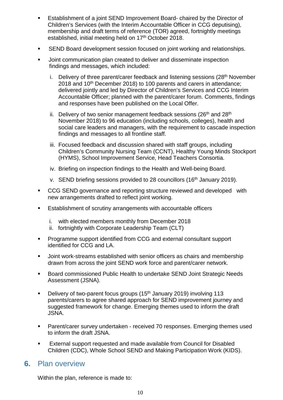- Establishment of a joint SEND Improvement Board- chaired by the Director of Children's Services (with the Interim Accountable Officer in CCG deputising), membership and draft terms of reference (TOR) agreed, fortnightly meetings established, initial meeting held on 17<sup>th</sup> October 2018.
- **SEND Board development session focused on joint working and relationships.**
- Joint communication plan created to deliver and disseminate inspection findings and messages, which included:
	- i. Delivery of three parent/carer feedback and listening sessions  $(28<sup>th</sup>$  November 2018 and 10<sup>th</sup> December 2018) to 100 parents and carers in attendance; delivered jointly and led by Director of Children's Services and CCG Interim Accountable Officer; planned with the parent/carer forum. Comments, findings and responses have been published on the Local Offer.
	- ii. Delivery of two senior management feedback sessions ( $26<sup>th</sup>$  and  $28<sup>th</sup>$ November 2018) to 96 education (including schools, colleges), health and social care leaders and managers, with the requirement to cascade inspection findings and messages to all frontline staff.
	- iii. Focused feedback and discussion shared with staff groups, including Children's Community Nursing Team (CCNT), Healthy Young Minds Stockport (HYMS), School Improvement Service, Head Teachers Consortia.
	- iv. Briefing on inspection findings to the Health and Well-being Board.
	- v. SEND briefing sessions provided to 28 councillors (16<sup>th</sup> January 2019).
- CCG SEND governance and reporting structure reviewed and developed with new arrangements drafted to reflect joint working.
- Establishment of scrutiny arrangements with accountable officers
	- i. with elected members monthly from December 2018
	- ii. fortnightly with Corporate Leadership Team (CLT)
- Programme support identified from CCG and external consultant support identified for CCG and LA.
- Joint work-streams established with senior officers as chairs and membership drawn from across the joint SEND work force and parent/carer network.
- Board commissioned Public Health to undertake SEND Joint Strategic Needs Assessment (JSNA).
- Delivery of two-parent focus groups  $(15<sup>th</sup>$  January 2019) involving 113 parents/carers to agree shared approach for SEND improvement journey and suggested framework for change. Emerging themes used to inform the draft JSNA.
- **Parent/carer survey undertaken received 70 responses. Emerging themes used** to inform the draft JSNA.
- External support requested and made available from Council for Disabled Children (CDC), Whole School SEND and Making Participation Work (KIDS).

### <span id="page-9-0"></span>**6.** Plan overview

Within the plan, reference is made to: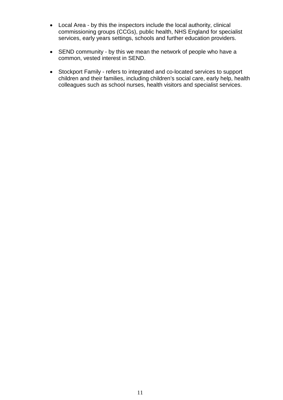- Local Area by this the inspectors include the local authority, clinical commissioning groups (CCGs), public health, NHS England for specialist services, early years settings, schools and further education providers.
- SEND community by this we mean the network of people who have a common, vested interest in SEND.
- Stockport Family refers to integrated and co-located services to support children and their families, including children's social care, early help, health colleagues such as school nurses, health visitors and specialist services.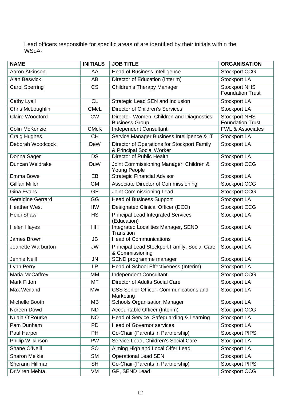Lead officers responsible for specific areas of are identified by their initials within the WSoA-

| <b>NAME</b>              | <b>INITIALS</b> | <b>JOB TITLE</b>                                                         | <b>ORGANISATION</b>                             |
|--------------------------|-----------------|--------------------------------------------------------------------------|-------------------------------------------------|
| Aaron Atkinson           | AA              | <b>Head of Business Intelligence</b>                                     | <b>Stockport CCG</b>                            |
| <b>Alan Beswick</b>      | AB              | Director of Education (Interim)                                          | Stockport LA                                    |
| <b>Carol Sperring</b>    | <b>CS</b>       | <b>Children's Therapy Manager</b>                                        | Stockport NHS<br><b>Foundation Trust</b>        |
| Cathy Lyall              | <b>CL</b>       | Strategic Lead SEN and Inclusion                                         | Stockport LA                                    |
| Chris McLoughlin         | <b>CMcL</b>     | <b>Director of Children's Services</b>                                   | Stockport LA                                    |
| Claire Woodford          | <b>CW</b>       | Director, Women, Children and Diagnostics<br><b>Business Group</b>       | <b>Stockport NHS</b><br><b>Foundation Trust</b> |
| Colin McKenzie           | <b>CMcK</b>     | <b>Independent Consultant</b>                                            | <b>FWL &amp; Associates</b>                     |
| Craig Hughes             | <b>CH</b>       | Service Manager Business Intelligence & IT                               | Stockport LA                                    |
| Deborah Woodcock         | <b>DeW</b>      | Director of Operations for Stockport Family<br>& Principal Social Worker | Stockport LA                                    |
| Donna Sager              | <b>DS</b>       | Director of Public Health                                                | Stockport LA                                    |
| Duncan Weldrake          | <b>DuW</b>      | Joint Commissioning Manager, Children &<br>Young People                  | <b>Stockport CCG</b>                            |
| Emma Bowe                | EB              | <b>Strategic Financial Advisor</b>                                       | Stockport LA                                    |
| <b>Gillian Miller</b>    | GM              | Associate Director of Commissioning                                      | <b>Stockport CCG</b>                            |
| <b>Gina Evans</b>        | <b>GE</b>       | Joint Commissioning Lead                                                 | <b>Stockport CCG</b>                            |
| <b>Geraldine Gerrard</b> | GG              | <b>Head of Business Support</b>                                          | Stockport LA                                    |
| <b>Heather West</b>      | <b>HW</b>       | Designated Clinical Officer (DCO)                                        | <b>Stockport CCG</b>                            |
| <b>Heidi Shaw</b>        | <b>HS</b>       | <b>Principal Lead Integrated Services</b><br>(Education)                 | Stockport LA                                    |
| <b>Helen Hayes</b>       | <b>HH</b>       | <b>Integrated Localities Manager, SEND</b><br>Transition                 | Stockport LA                                    |
| James Brown              | <b>JB</b>       | <b>Head of Communications</b>                                            | Stockport LA                                    |
| Jeanette Warburton       | <b>JW</b>       | Principal Lead Stockport Family, Social Care<br>& Commissioning          | Stockport LA                                    |
| Jennie Neill             | <b>JN</b>       | SEND programme manager                                                   | Stockport LA                                    |
| Lynn Perry               | LP              | Head of School Effectiveness (Interim)                                   | Stockport LA                                    |
| Maria McCaffrey          | <b>MM</b>       | <b>Independent Consultant</b>                                            | <b>Stockport CCG</b>                            |
| <b>Mark Fitton</b>       | <b>MF</b>       | Director of Adults Social Care                                           | Stockport LA                                    |
| Max Weiland              | <b>MW</b>       | CSS Senior Officer- Communications and<br>Marketing                      | Stockport LA                                    |
| Michelle Booth           | MВ              | <b>Schools Organisation Manager</b>                                      | Stockport LA                                    |
| Noreen Dowd              | <b>ND</b>       | Accountable Officer (Interim)                                            | <b>Stockport CCG</b>                            |
| Nuala O'Rourke           | <b>NO</b>       | Head of Service, Safeguarding & Learning                                 | Stockport LA                                    |
| Pam Dunham               | <b>PD</b>       | <b>Head of Governor services</b>                                         | Stockport LA                                    |
| Paul Harper              | PH              | Co-Chair (Parents in Partnership)                                        | <b>Stockport PIPS</b>                           |
| Phillip Wilkinson        | <b>PW</b>       | Service Lead, Children's Social Care                                     | Stockport LA                                    |
| Shane O'Neill            | <b>SO</b>       | Aiming High and Local Offer Lead                                         | Stockport LA                                    |
| <b>Sharon Meikle</b>     | <b>SM</b>       | <b>Operational Lead SEN</b>                                              | Stockport LA                                    |
| Sherann Hillman          | <b>SH</b>       | Co-Chair (Parents in Partnership)                                        | <b>Stockport PIPS</b>                           |
| Dr. Viren Mehta          | VM              | GP, SEND Lead                                                            | <b>Stockport CCG</b>                            |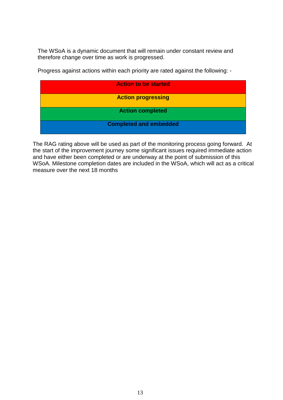The WSoA is a dynamic document that will remain under constant review and therefore change over time as work is progressed.

| <b>Action to be started</b>   |
|-------------------------------|
| <b>Action progressing</b>     |
| <b>Action completed</b>       |
| <b>Completed and embedded</b> |

Progress against actions within each priority are rated against the following: -

The RAG rating above will be used as part of the monitoring process going forward. At the start of the improvement journey some significant issues required immediate action and have either been completed or are underway at the point of submission of this WSoA. Milestone completion dates are included in the WSoA, which will act as a critical measure over the next 18 months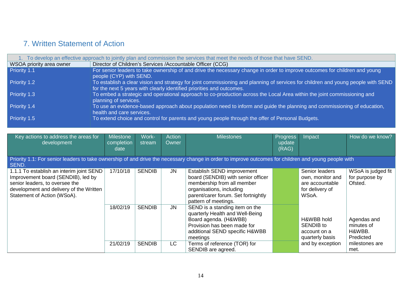## 7. Written Statement of Action

|                          | To develop an effective approach to jointly plan and commission the services that meet the needs of those that have SEND.                                                                                  |
|--------------------------|------------------------------------------------------------------------------------------------------------------------------------------------------------------------------------------------------------|
| WSOA priority area owner | Director of Children's Services /Accountable Officer (CCG)                                                                                                                                                 |
| Priority 1.1             | For senior leaders to take ownership of and drive the necessary change in order to improve outcomes for children and young<br>people (CYP) with SEND.                                                      |
| Priority 1.2             | To establish a clear vision and strategy for joint commissioning and planning of services for children and young people with SEND<br>for the next 5 years with clearly identified priorities and outcomes. |
| Priority 1.3             | To embed a strategic and operational approach to co-production across the Local Area within the joint commissioning and<br>planning of services.                                                           |
| Priority 1.4             | To use an evidence-based approach about population need to inform and guide the planning and commissioning of education,<br>health and care services.                                                      |
| Priority 1.5             | To extend choice and control for parents and young people through the offer of Personal Budgets.                                                                                                           |

<span id="page-13-1"></span><span id="page-13-0"></span>

| Key actions to address the areas for<br>development                                                                                                                                        | <b>Milestone</b><br>completion<br>date | Work-<br>stream | Action<br>Owner | <b>Milestones</b>                                                                                                                                                                         | <b>Progress</b><br>update<br>(RAG) | Impact                                                                            | How do we know?                                  |  |  |  |
|--------------------------------------------------------------------------------------------------------------------------------------------------------------------------------------------|----------------------------------------|-----------------|-----------------|-------------------------------------------------------------------------------------------------------------------------------------------------------------------------------------------|------------------------------------|-----------------------------------------------------------------------------------|--------------------------------------------------|--|--|--|
| Priority 1.1: For senior leaders to take ownership of and drive the necessary change in order to improve outcomes for children and young people with<br>SEND.                              |                                        |                 |                 |                                                                                                                                                                                           |                                    |                                                                                   |                                                  |  |  |  |
| 1.1.1 To establish an interim joint SEND<br>Improvement board (SENDIB), led by<br>senior leaders, to oversee the<br>development and delivery of the Written<br>Statement of Action (WSoA). | 17/10/18                               | <b>SENDIB</b>   | <b>JN</b>       | Establish SEND improvement<br>board (SENDIB) with senior officer<br>membership from all member<br>organisations, including<br>parent/carer forum. Set fortnightly<br>pattern of meetings. |                                    | Senior leaders<br>own, monitor and<br>are accountable<br>for delivery of<br>WSoA. | WSoA is judged fit<br>for purpose by<br>Ofsted.  |  |  |  |
|                                                                                                                                                                                            | 18/02/19                               | <b>SENDIB</b>   | <b>JN</b>       | SEND is a standing item on the<br>quarterly Health and Well-Being<br>Board agenda. (H&WBB)<br>Provision has been made for<br>additional SEND specific H&WBB<br>meetings                   |                                    | H&WBB hold<br>SENDIB to<br>account on a<br>quarterly basis                        | Agendas and<br>minutes of<br>H&WBB.<br>Predicted |  |  |  |
|                                                                                                                                                                                            | 21/02/19                               | <b>SENDIB</b>   | <b>LC</b>       | Terms of reference (TOR) for<br>SENDIB are agreed.                                                                                                                                        |                                    | and by exception                                                                  | milestones are<br>met.                           |  |  |  |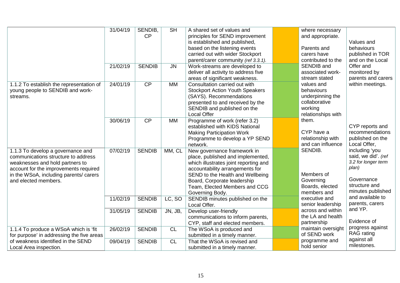|                                                                                                                                                                                                                        | 31/04/19 | SENDIB,<br>CP   | <b>SH</b> | A shared set of values and<br>principles for SEND improvement<br>is established and published,<br>based on the listening events<br>carried out with wider Stockport                                                                                                 | where necessary<br>and appropriate.<br>Parents and<br>carers have                              | Values and<br>behaviours<br>published in TOR                                                                              |
|------------------------------------------------------------------------------------------------------------------------------------------------------------------------------------------------------------------------|----------|-----------------|-----------|---------------------------------------------------------------------------------------------------------------------------------------------------------------------------------------------------------------------------------------------------------------------|------------------------------------------------------------------------------------------------|---------------------------------------------------------------------------------------------------------------------------|
|                                                                                                                                                                                                                        | 21/02/19 | <b>SENDIB</b>   | <b>JN</b> | parent/carer community (ref 3.3.1).<br>Work-streams are developed to<br>deliver all activity to address five<br>areas of significant weakness.                                                                                                                      | contributed to the<br>SENDIB and<br>associated work-<br>stream stated                          | and on the Local<br>Offer and<br>monitored by<br>parents and carers                                                       |
| 1.1.2 To establish the representation of<br>young people to SENDIB and work-<br>streams.                                                                                                                               | 24/01/19 | $\overline{CP}$ | <b>MM</b> | Consultation carried out with<br><b>Stockport Action Youth Speakers</b><br>(SAYS). Recommendations<br>presented to and received by the<br>SENDIB and published on the<br><b>Local Offer</b>                                                                         | values and<br>behaviours<br>underpinning the<br>collaborative<br>working<br>relationships with | within meetings.                                                                                                          |
|                                                                                                                                                                                                                        | 30/06/19 | CP              | <b>MM</b> | Programme of work (refer 3.2)<br>established with KIDS National<br><b>Making Participation Work</b><br>Programme to develop a YP SEND<br>network.                                                                                                                   | them.<br>CYP have a<br>relationship with<br>and can influence                                  | CYP reports and<br>recommendations<br>published on the<br>Local Offer,                                                    |
| 1.1.3 To develop a governance and<br>communications structure to address<br>weaknesses and hold partners to<br>account for the improvements required<br>in the WSoA, including parents/ carers<br>and elected members. | 07/02/19 | <b>SENDIB</b>   | MM, CL    | New governance framework in<br>place, published and implemented,<br>which illustrates joint reporting and<br>accountability arrangements for<br>SEND to the Health and Wellbeing<br>Board, Corporate leadership<br>Team, Elected Members and CCG<br>Governing Body. | SENDIB.<br>Members of<br>Governing<br>Boards, elected<br>members and                           | including 'you<br>said, we did'. (ref<br>3.2 for longer term<br>plan)<br>Governance<br>structure and<br>minutes published |
|                                                                                                                                                                                                                        | 11/02/19 | <b>SENDIB</b>   | LC, SO    | SENDIB minutes published on the<br>Local Offer.                                                                                                                                                                                                                     | executive and<br>senior leadership                                                             | and available to<br>parents, carers                                                                                       |
|                                                                                                                                                                                                                        | 31/05/19 | <b>SENDIB</b>   | JN, JB,   | Develop user-friendly<br>communications to inform parents,<br>CYP, staff and elected members.                                                                                                                                                                       | across and within<br>the LA and health<br>partnership                                          | and YP.<br>Evidence of                                                                                                    |
| 1.1.4 To produce a WSoA which is 'fit<br>for purpose' in addressing the five areas                                                                                                                                     | 26/02/19 | <b>SENDIB</b>   | <b>CL</b> | The WSoA is produced and<br>submitted in a timely manner.                                                                                                                                                                                                           | maintain oversight<br>of SEND work                                                             | progress against<br><b>RAG</b> rating                                                                                     |
| of weakness identified in the SEND<br>Local Area inspection.                                                                                                                                                           | 09/04/19 | <b>SENDIB</b>   | CL        | That the WSoA is revised and<br>submitted in a timely manner.                                                                                                                                                                                                       | programme and<br>hold senior                                                                   | against all<br>milestones.                                                                                                |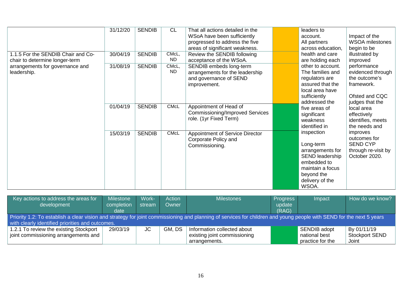|                                                                      | 31/12/20 | <b>SENDIB</b> | <b>CL</b>          | That all actions detailed in the<br>WSoA have been sufficiently<br>progressed to address the five<br>areas of significant weakness. |  | leaders to<br>account.<br>All partners<br>across education,                                                                                                                                                                                                                                                                                                                        | Impact of the<br><b>WSOA</b> milestones<br>begin to be                                                          |
|----------------------------------------------------------------------|----------|---------------|--------------------|-------------------------------------------------------------------------------------------------------------------------------------|--|------------------------------------------------------------------------------------------------------------------------------------------------------------------------------------------------------------------------------------------------------------------------------------------------------------------------------------------------------------------------------------|-----------------------------------------------------------------------------------------------------------------|
| 1.1.5 For the SENDIB Chair and Co-<br>chair to determine longer-term | 30/04/19 | <b>SENDIB</b> | CMcL,<br><b>ND</b> | Review the SENDIB following<br>acceptance of the WSoA.                                                                              |  | health and care<br>are holding each<br>other to account.<br>The families and<br>regulators are<br>assured that the<br>local area have<br>sufficiently<br>addressed the<br>five areas of<br>significant<br>weakness<br>identified in<br>inspection<br>Long-term<br>arrangements for<br>SEND leadership<br>embedded to<br>maintain a focus<br>beyond the<br>delivery of the<br>WSOA. | illustrated by<br>improved<br>performance<br>evidenced through<br>the outcome's<br>framework.<br>Ofsted and CQC |
| arrangements for governance and<br>leadership.                       | 31/08/19 | <b>SENDIB</b> | CMcL,<br><b>ND</b> | SENDIB embeds long-term<br>arrangements for the leadership<br>and governance of SEND<br>improvement.                                |  |                                                                                                                                                                                                                                                                                                                                                                                    |                                                                                                                 |
|                                                                      | 01/04/19 | <b>SENDIB</b> | <b>CMcL</b>        | Appointment of Head of<br><b>Commissioning/Improved Services</b><br>role. (1yr Fixed Term)                                          |  |                                                                                                                                                                                                                                                                                                                                                                                    | judges that the<br>local area<br>effectively<br>identifies, meets<br>the needs and                              |
|                                                                      | 15/03/19 | <b>SENDIB</b> | <b>CMcL</b>        | Appointment of Service Director<br>Corporate Policy and<br>Commissioning.                                                           |  |                                                                                                                                                                                                                                                                                                                                                                                    | improves<br>outcomes for<br><b>SEND CYP</b><br>through re-visit by<br>October 2020.                             |

| Key actions to address the areas for                                                                                                                                 | <b>Milestone</b> | Work-  | <b>Action</b> | <b>Milestones</b>            | Progress | Impact           | How do we know?       |  |  |
|----------------------------------------------------------------------------------------------------------------------------------------------------------------------|------------------|--------|---------------|------------------------------|----------|------------------|-----------------------|--|--|
| development                                                                                                                                                          | completion       | stream | Owner         |                              | update   |                  |                       |  |  |
|                                                                                                                                                                      | date             |        |               |                              | (RAG)    |                  |                       |  |  |
| Priority 1.2: To establish a clear vision and strategy for joint commissioning and planning of services for children and young people with SEND for the next 5 years |                  |        |               |                              |          |                  |                       |  |  |
| with clearly identified priorities and outcomes.                                                                                                                     |                  |        |               |                              |          |                  |                       |  |  |
| 1.2.1 To review the existing Stockport                                                                                                                               | 29/03/19         | JC     | GM, DS        | Information collected about  |          | SENDIB adopt     | By 01/11/19           |  |  |
| joint commissioning arrangements and                                                                                                                                 |                  |        |               | existing joint commissioning |          | national best    | <b>Stockport SEND</b> |  |  |
|                                                                                                                                                                      |                  |        |               | arrangements.                |          | practice for the | Joint                 |  |  |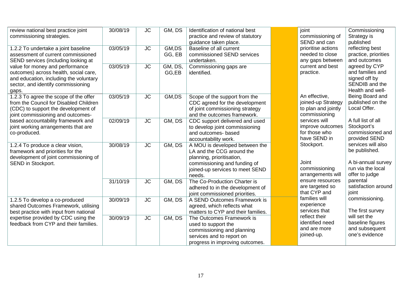| review national best practice joint<br>commissioning strategies.                                                                                                  | 30/08/19 | <b>JC</b> | GM, DS           | Identification of national best<br>practice and review of statutory<br>guidance taken place.                                                                          |  | joint<br>commissioning of<br>SEND and can                                                                                       | Commissioning<br>Strategy is<br>published                                                        |
|-------------------------------------------------------------------------------------------------------------------------------------------------------------------|----------|-----------|------------------|-----------------------------------------------------------------------------------------------------------------------------------------------------------------------|--|---------------------------------------------------------------------------------------------------------------------------------|--------------------------------------------------------------------------------------------------|
| 1.2.2 To undertake a joint baseline<br>assessment of current commissioned<br>SEND services (including looking at                                                  | 03/05/19 | <b>JC</b> | GM,DS<br>GG, EB  | Baseline of all current<br>commissioned SEND services<br>undertaken.                                                                                                  |  | prioritise actions<br>needed to close<br>any gaps between                                                                       | reflecting best<br>practice, priorities<br>and outcomes                                          |
| value for money and performance<br>outcomes) across health, social care,<br>and education, including the voluntary<br>sector, and identify commissioning<br>gaps. | 03/05/19 | <b>JC</b> | GM, DS,<br>GG,EB | Commissioning gaps are<br>identified.                                                                                                                                 |  | current and best<br>practice.                                                                                                   | agreed by CYP<br>and families and<br>signed off by<br>SENDIB and the<br>Health and well-         |
| 1.2.3 To agree the scope of the offer<br>from the Council for Disabled Children<br>(CDC) to support the development of<br>joint commissioning and outcomes-       | 03/05/19 | <b>JC</b> | GM,DS            | Scope of the support from the<br>CDC agreed for the development<br>of joint commissioning strategy<br>and the outcomes framework.                                     |  | An effective,<br>joined-up Strategy<br>to plan and jointly<br>commissioning                                                     | Being Board and<br>published on the<br>Local Offer.                                              |
| based accountability framework and<br>joint working arrangements that are<br>co-produced.                                                                         | 02/09/19 | <b>JC</b> | GM, DS           | CDC support delivered and used<br>to develop joint commissioning<br>and outcomes- based<br>accountability work.                                                       |  | services will<br>improve outcomes<br>for those who<br>have SEND in<br>Stockport.<br>Joint<br>commissioning<br>arrangements will | A full list of all<br>Stockport's<br>commissioned and<br>provided SEND                           |
| 1.2.4 To produce a clear vision,<br>framework and priorities for the<br>development of joint commissioning of<br>SEND in Stockport.                               | 30/08/19 | <b>JC</b> | GM, DS           | A MOU is developed between the<br>LA and the CCG around the<br>planning, prioritisation,<br>commissioning and funding of<br>joined-up services to meet SEND<br>needs. |  |                                                                                                                                 | services will also<br>be published.<br>A bi-annual survey<br>run via the local<br>offer to judge |
|                                                                                                                                                                   | 31/10/19 | <b>JC</b> | GM, DS           | The Co-Production Charter is<br>adhered to in the development of<br>joint commissioned priorities.                                                                    |  | ensure resources<br>are targeted so<br>that CYP and                                                                             | parental<br>satisfaction around<br>joint                                                         |
| 1.2.5 To develop a co-produced<br>shared Outcomes Framework, utilising<br>best practice with input from national                                                  | 30/09/19 | <b>JC</b> | GM, DS           | A SEND Outcomes Framework is<br>agreed, which reflects what<br>matters to CYP and their families.                                                                     |  | families will<br>experience<br>services that<br>reflect their<br>identified need<br>and are more<br>joined-up.                  | commissioning.<br>The first survey                                                               |
| expertise provided by CDC using the<br>feedback from CYP and their families.                                                                                      | 30/09/19 | <b>JC</b> | GM, DS           | The Outcomes Framework is<br>used to support the<br>commissioning and planning<br>services and to report on<br>progress in improving outcomes.                        |  |                                                                                                                                 | will set the<br>baseline figures<br>and subsequent<br>one's evidence                             |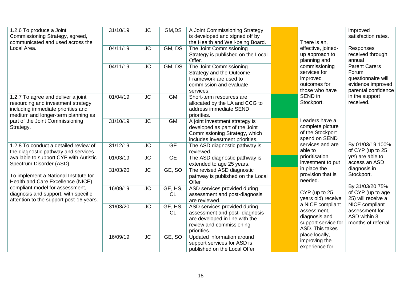| 1.2.6 To produce a Joint<br>Commissioning Strategy, agreed,<br>communicated and used across the                                                      | 31/10/19 | <b>JC</b>              | GM,DS                | A Joint Commissioning Strategy<br>is developed and signed off by<br>the Health and Well-being Board.                                       |                                                                                            | There is an,                                                                                                                                                                                                                                                           | improved<br>satisfaction rates.                                                                 |
|------------------------------------------------------------------------------------------------------------------------------------------------------|----------|------------------------|----------------------|--------------------------------------------------------------------------------------------------------------------------------------------|--------------------------------------------------------------------------------------------|------------------------------------------------------------------------------------------------------------------------------------------------------------------------------------------------------------------------------------------------------------------------|-------------------------------------------------------------------------------------------------|
| Local Area.                                                                                                                                          | 04/11/19 | <b>JC</b>              | GM, DS               | The Joint Commissioning<br>Strategy is published on the Local<br>Offer.                                                                    |                                                                                            | effective, joined-<br>up approach to<br>planning and<br>commissioning<br>services for<br>improved<br>outcomes for<br>those who have<br>SEND in<br>Stockport.<br>Leaders have a<br>complete picture<br>of the Stockport<br>spend on SEND<br>services and are<br>able to | Responses<br>received through<br>annual                                                         |
|                                                                                                                                                      | 04/11/19 | <b>JC</b>              | GM, DS               | The Joint Commissioning<br>Strategy and the Outcome<br>Framework are used to<br>commission and evaluate<br>services.                       |                                                                                            |                                                                                                                                                                                                                                                                        | <b>Parent Carers</b><br>Forum<br>questionnaire will<br>evidence improved<br>parental confidence |
| 1.2.7 To agree and deliver a joint<br>resourcing and investment strategy<br>including immediate priorities and<br>medium and longer-term planning as | 01/04/19 | <b>JC</b>              | <b>GM</b>            | Short-term resources are<br>allocated by the LA and CCG to<br>address immediate SEND<br>priorities.                                        |                                                                                            |                                                                                                                                                                                                                                                                        | in the support<br>received.                                                                     |
| part of the Joint Commissioning<br>Strategy.                                                                                                         | 31/10/19 | <b>JC</b>              | <b>GM</b>            | A joint investment strategy is<br>developed as part of the Joint<br>Commissioning Strategy, which<br>includes investment priorities.       |                                                                                            |                                                                                                                                                                                                                                                                        |                                                                                                 |
| 1.2.8 To conduct a detailed review of<br>the diagnostic pathway and services                                                                         | 31/12/19 | $\overline{\text{JC}}$ | <b>GE</b>            | The ASD diagnostic pathway is<br>reviewed.                                                                                                 |                                                                                            |                                                                                                                                                                                                                                                                        | By 01/03/19 100%<br>of CYP (up to 25                                                            |
| available to support CYP with Autistic<br>Spectrum Disorder (ASD).                                                                                   | 01/03/19 | <b>JC</b>              | <b>GE</b>            | The ASD diagnostic pathway is<br>extended to age 25 years.                                                                                 |                                                                                            | prioritisation<br>investment to put                                                                                                                                                                                                                                    | yrs) are able to<br>access an ASD                                                               |
| To implement a National Institute for<br>Health and Care Excellence (NICE)                                                                           | 31/03/20 | <b>JC</b>              | GE, SO               | The revised ASD diagnostic<br>pathway is published on the Local<br>Offer                                                                   |                                                                                            | in place the<br>provision that is<br>needed.<br>CYP (up to 25<br>years old) receive                                                                                                                                                                                    | diagnosis in<br>Stockport.                                                                      |
| compliant model for assessment,<br>diagnosis and support, with specific<br>attention to the support post-16 years.                                   | 16/09/19 | <b>JC</b>              | GE, HS,<br><b>CL</b> | ASD services provided during<br>assessment and post-diagnosis<br>are reviewed.                                                             |                                                                                            |                                                                                                                                                                                                                                                                        | By 31/03/20 75%<br>of CYP (up to age<br>25) will receive a                                      |
|                                                                                                                                                      | 31/03/20 | <b>JC</b>              | GE, HS,<br><b>CL</b> | ASD services provided during<br>assessment and post-diagnosis<br>are developed in line with the<br>review and commissioning<br>priorities. | a NICE compliant<br>assessment,<br>diagnosis and<br>support service for<br>ASD. This takes | NICE compliant<br>assessment for<br>ASD within 3<br>months of referral.                                                                                                                                                                                                |                                                                                                 |
|                                                                                                                                                      | 16/09/19 | <b>JC</b>              | GE, SO               | Updated information around<br>support services for ASD is<br>published on the Local Offer                                                  |                                                                                            | place locally,<br>improving the<br>experience for                                                                                                                                                                                                                      |                                                                                                 |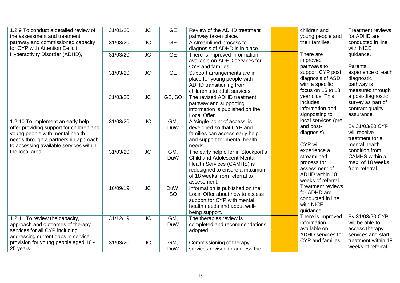| 1.2.9 To conduct a detailed review of<br>the assessment and treatment                                                                                                                              | 31/01/20 | <b>JC</b>              | <b>GE</b>         | Review of the ADHD treatment<br>pathway taken place.                                                                                                                                     |  | children and<br>young people and                                                                                                                                                               | <b>Treatment reviews</b><br>for ADHD are                                                   |
|----------------------------------------------------------------------------------------------------------------------------------------------------------------------------------------------------|----------|------------------------|-------------------|------------------------------------------------------------------------------------------------------------------------------------------------------------------------------------------|--|------------------------------------------------------------------------------------------------------------------------------------------------------------------------------------------------|--------------------------------------------------------------------------------------------|
| pathway and commissioned capacity<br>for CYP with Attention Deficit                                                                                                                                | 31/03/20 | <b>JC</b>              | <b>GE</b>         | A streamlined process for<br>diagnosis of ADHD is in place.                                                                                                                              |  | their families.                                                                                                                                                                                | conducted in line<br>with NICE                                                             |
| Hyperactivity Disorder (ADHD),                                                                                                                                                                     | 31/03/20 | <b>JC</b>              | <b>GE</b>         | There is improved information<br>available on ADHD services for<br>CYP and families.                                                                                                     |  | There are<br>improved<br>pathways to                                                                                                                                                           | guidance.<br>Parents<br>experience of each<br>diagnostic<br>pathway is<br>measured through |
|                                                                                                                                                                                                    | 31/03/20 | <b>JC</b>              | <b>GE</b>         | Support arrangements are in<br>place for young people with<br>ADHD transitioning from<br>children's to adult services.                                                                   |  | support CYP post<br>diagnosis of ASD,<br>with a specific<br>focus on 16 to 18<br>year olds. This<br>includes<br>information and<br>signposting to                                              |                                                                                            |
|                                                                                                                                                                                                    | 31/03/20 | <b>JC</b>              | GE, SO            | The revised ADHD treatment<br>pathway and supporting<br>information is published on the<br>Local Offer.                                                                                  |  |                                                                                                                                                                                                | a post-diagnostic<br>survey as part of<br>contract quality<br>assurance.                   |
| 1.2.10 To implement an early help<br>offer providing support for children and<br>young people with mental health<br>needs through a partnership approach<br>to accessing available services within | 31/03/20 | <b>JC</b>              | GM,<br><b>DuW</b> | A 'single-point of access' is<br>developed so that CYP and<br>families can access early help<br>and support for mental health<br>needs.                                                  |  | local services (pre<br>and post-<br>diagnosis).<br>CYP will                                                                                                                                    | By 31/03/20 CYP<br>will receive<br>treatment for a<br>mental health                        |
| the local area.                                                                                                                                                                                    | 31/03/20 | <b>JC</b>              | GM,<br>DuW        | The early help offer in Stockport's<br><b>Child and Adolescent Mental</b><br>Health Services (CAMHS) is<br>redesigned to ensure a maximum<br>of 18 weeks from referral to<br>assessment. |  | experience a<br>streamlined<br>process for<br>assessment of<br>ADHD within 18<br>weeks of referral.<br><b>Treatment reviews</b><br>for ADHD are<br>conducted in line<br>with NICE<br>guidance. | condition from<br>CAMHS within a<br>max, of 18 weeks<br>from referral.                     |
|                                                                                                                                                                                                    | 16/09/19 | $\overline{\text{JC}}$ | DuW,<br><b>SO</b> | Information is published on the<br>Local Offer about how to access<br>support for CYP with mental<br>health needs and about well-<br>being support.                                      |  |                                                                                                                                                                                                |                                                                                            |
| 1.2.11 To review the capacity,<br>approach and outcomes of therapy<br>services for all CYP including<br>addressing current gaps in service                                                         | 31/12/19 | <b>JC</b>              | GM,<br>DuW        | The therapies review is<br>completed and recommendations<br>adopted.                                                                                                                     |  | There is improved<br>information<br>available on<br>ADHD services for                                                                                                                          | By 31/03/20 CYP<br>will be able to<br>access therapy<br>services and start                 |
| provision for young people aged 16 -<br>25 years.                                                                                                                                                  | 31/03/20 | <b>JC</b>              | GM,<br><b>DuW</b> | Commissioning of therapy<br>services revised to address the                                                                                                                              |  | CYP and families.                                                                                                                                                                              | treatment within 18<br>weeks of referral.                                                  |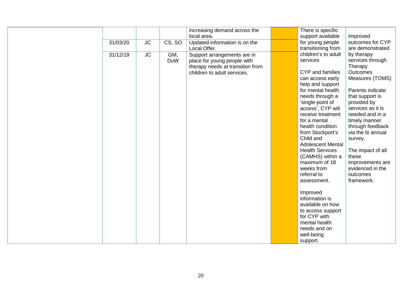|                                            | There is specific<br>increasing demand across the<br>local area.<br>support available<br>Improved                                                                                                                                                                                                                                                                                                                                                                                                                                                                                                                                                                                                                                                                                                                                                                                                                                                                                                                                   |
|--------------------------------------------|-------------------------------------------------------------------------------------------------------------------------------------------------------------------------------------------------------------------------------------------------------------------------------------------------------------------------------------------------------------------------------------------------------------------------------------------------------------------------------------------------------------------------------------------------------------------------------------------------------------------------------------------------------------------------------------------------------------------------------------------------------------------------------------------------------------------------------------------------------------------------------------------------------------------------------------------------------------------------------------------------------------------------------------|
| <b>JC</b><br>CS, SO<br>31/03/20            | Updated information is on the<br>for young people<br>outcomes for CYP<br>transitioning from<br>Local Offer.<br>are demonstrated                                                                                                                                                                                                                                                                                                                                                                                                                                                                                                                                                                                                                                                                                                                                                                                                                                                                                                     |
| <b>JC</b><br>GM,<br>31/12/19<br><b>DuW</b> | children's to adult<br>by therapy<br>Support arrangements are in<br>services<br>services through<br>place for young people with<br>Therapy<br>therapy needs at transition from<br>CYP and families<br>Outcomes<br>children to adult services.<br>Measures (TOMS)<br>can access early<br>help and support<br>Parents indicate<br>for mental health<br>needs through a<br>that support is<br>'single-point of<br>provided by<br>access', CYP will<br>services as it is<br>needed and in a<br>receive treatment<br>for a mental<br>timely manner<br>through feedback<br>health condition<br>from Stockport's<br>via the bi annual<br>Child and<br>survey.<br><b>Adolescent Mental</b><br><b>Health Services</b><br>The impact of all<br>(CAMHS) within a<br>these<br>maximum of 18<br>improvements are<br>weeks from<br>evidenced in the<br>referral to<br>outcomes<br>framework.<br>assessment.<br>Improved<br>information is<br>available on how<br>to access support<br>for CYP with<br>mental health<br>needs and on<br>well-being |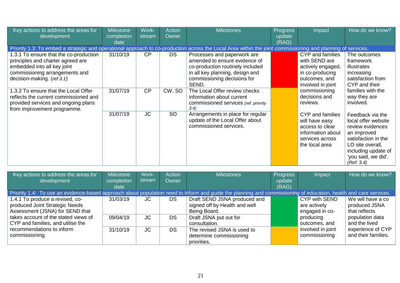| Key actions to address the areas for<br>development                                                                                                                        | Milestone<br>completion<br>date | Work-<br>stream | <b>Action</b><br>Owner | <b>Milestones</b>                                                                                                                                                           | Progress<br>update<br>(RAG) | Impact                                                                                                          | How do we know?                                                                                                                                                                   |
|----------------------------------------------------------------------------------------------------------------------------------------------------------------------------|---------------------------------|-----------------|------------------------|-----------------------------------------------------------------------------------------------------------------------------------------------------------------------------|-----------------------------|-----------------------------------------------------------------------------------------------------------------|-----------------------------------------------------------------------------------------------------------------------------------------------------------------------------------|
| Priority 1.3: To embed a strategic and operational approach to co-production across the Local Area within the joint commissioning and planning of services.                |                                 |                 |                        |                                                                                                                                                                             |                             |                                                                                                                 |                                                                                                                                                                                   |
| 1.3.1 To ensure that the co-production<br>principles and charter agreed are<br>embedded into all key joint<br>commissioning arrangements and<br>decision-making. (ref 3.1) | 31/10/19                        | CP              | <b>DS</b>              | Processes and paperwork are<br>amended to ensure evidence of<br>co-production routinely included<br>in all key planning, design and<br>commissioning decisions for<br>SEND. |                             | CYP and families<br>with SEND are<br>actively engaged,<br>in co-producing<br>outcomes, and<br>involved in joint | The outcomes<br>framework<br>illustrates<br>increasing<br>satisfaction from<br>CYP and their                                                                                      |
| 1.3.2 To ensure that the Local Offer<br>reflects the current commissioned and<br>provided services and ongoing plans<br>from improvement programme.                        | 31/07/19                        | CP              | CW, SO                 | The Local Offer review checks<br>information about current<br>commissioned services (ref. priority<br>3.4)                                                                  |                             | commissioning<br>decisions and<br>reviews.                                                                      | families with the<br>way they are<br>involved.                                                                                                                                    |
|                                                                                                                                                                            | 31/07/19                        | JC              | SO                     | Arrangements in place for regular<br>update of the Local Offer about<br>commissioned services.                                                                              |                             | CYP and families<br>will have easy<br>access to clear<br>information about<br>services across<br>the local area | Feedback via the<br>local offer website<br>review evidences<br>an improved<br>satisfaction in the<br>LO site overall,<br>including update of<br>'you said, we did'.<br>(Ref: 3.4) |

| Key actions to address the areas for                                                                                                                             | <b>Milestone</b> | Work-     | <b>Action</b> | <b>Milestones</b>             | <b>Progress</b> | Impact            | How do we know?     |
|------------------------------------------------------------------------------------------------------------------------------------------------------------------|------------------|-----------|---------------|-------------------------------|-----------------|-------------------|---------------------|
| development                                                                                                                                                      | completion       | stream    | Owner         |                               | update          |                   |                     |
|                                                                                                                                                                  | date             |           |               |                               | (RAG)           |                   |                     |
| Priority 1.4: To use an evidence-based approach about population need to inform and guide the planning and commissioning of education, health and care services. |                  |           |               |                               |                 |                   |                     |
| 1.4.1 To produce a revised, co-                                                                                                                                  | 31/03/19         | JC.       | DS.           | Draft SEND JSNA produced and  |                 | CYP with SEND     | We will have a co   |
| produced Joint Strategic Needs                                                                                                                                   |                  |           |               | signed off by Health and well |                 | are actively      | produced JSNA       |
| Assessment (JSNA) for SEND that                                                                                                                                  |                  |           |               | Being Board.                  |                 | engaged in co-    | that reflects       |
| takes account of the stated views of                                                                                                                             | 09/04/19         | <b>JC</b> | <b>DS</b>     | Draft JSNA put out for        |                 | producing         | population data     |
| CYP and families, and utilise the                                                                                                                                |                  |           |               | consultation.                 |                 | outcomes, and     | and the lived       |
| recommendations to inform                                                                                                                                        | 31/10/19         | JC        | <b>DS</b>     | The revised JSNA is used to   |                 | involved in joint | experience of CYP   |
| commissioning.                                                                                                                                                   |                  |           |               | determine commissioning       |                 | commissioning     | and their families. |
|                                                                                                                                                                  |                  |           |               | priorities.                   |                 |                   |                     |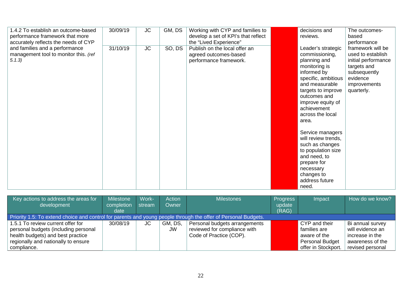| 1.4.2 To establish an outcome-based<br>performance framework that more<br>accurately reflects the needs of CYP | 30/09/19 | <b>JC</b> | GM, DS | Working with CYP and families to<br>develop a set of KPI's that reflect<br>the "Lived Experience" | decisions and<br>reviews.                                                                                                                                                                                                                                                                                                                                                                                     | The outcomes-<br>based<br>performance                                                                                                  |
|----------------------------------------------------------------------------------------------------------------|----------|-----------|--------|---------------------------------------------------------------------------------------------------|---------------------------------------------------------------------------------------------------------------------------------------------------------------------------------------------------------------------------------------------------------------------------------------------------------------------------------------------------------------------------------------------------------------|----------------------------------------------------------------------------------------------------------------------------------------|
| and families and a performance<br>management tool to monitor this. (ref<br>5.1.3)                              | 31/10/19 | <b>JC</b> | SO, DS | Publish on the local offer an<br>agreed outcomes-based<br>performance framework.                  | Leader's strategic<br>commissioning,<br>planning and<br>monitoring is<br>informed by<br>specific, ambitious<br>and measurable<br>targets to improve<br>outcomes and<br>improve equity of<br>achievement<br>across the local<br>area.<br>Service managers<br>will review trends,<br>such as changes<br>to population size<br>and need, to<br>prepare for<br>necessary<br>changes to<br>address future<br>need. | framework will be<br>used to establish<br>initial performance<br>targets and<br>subsequently<br>evidence<br>improvements<br>quarterly. |

| Key actions to address the areas for                                                                           | Milestone  | Work-  | <b>Action</b> | <b>Milestones</b>             | <b>Progress</b> | Impact              | How do we know?  |  |  |  |  |
|----------------------------------------------------------------------------------------------------------------|------------|--------|---------------|-------------------------------|-----------------|---------------------|------------------|--|--|--|--|
| development                                                                                                    | completion | stream | Owner         |                               | update          |                     |                  |  |  |  |  |
|                                                                                                                | date       |        |               |                               | (RAG)           |                     |                  |  |  |  |  |
| Priority 1.5: To extend choice and control for parents and young people through the offer of Personal Budgets. |            |        |               |                               |                 |                     |                  |  |  |  |  |
| 1.5.1 To review current offer for                                                                              | 30/08/19   | JC     | GM, DS,       | Personal budgets arrangements |                 | CYP and their       | Bi annual survey |  |  |  |  |
| personal budgets (including personal                                                                           |            |        | <b>JW</b>     | reviewed for compliance with  |                 | families are        | will evidence an |  |  |  |  |
| health budgets) and best practice                                                                              |            |        |               | Code of Practice (COP).       |                 | aware of the        | increase in the  |  |  |  |  |
| regionally and nationally to ensure                                                                            |            |        |               |                               |                 | Personal Budget     | awareness of the |  |  |  |  |
| compliance.                                                                                                    |            |        |               |                               |                 | offer in Stockport. | revised personal |  |  |  |  |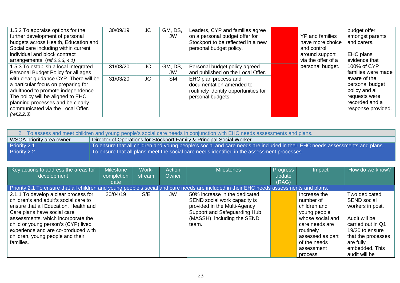| 1.5.2 To appraise options for the<br>further development of personal<br>budgets across Health, Education and<br>Social care including within current<br>individual and block contract<br>arrangements. (ref 2.2.3, 4.1)                           | 30/09/19 | JC  | GM, DS,<br>JW | Leaders, CYP and families agree<br>on a personal budget offer for<br>Stockport to be reflected in a new<br>personal budget policy. | YP and families<br>have more choice<br>and control<br>around support<br>via the offer of a | budget offer<br>amongst parents<br>and carers.<br>EHC plans<br>evidence that                               |
|---------------------------------------------------------------------------------------------------------------------------------------------------------------------------------------------------------------------------------------------------|----------|-----|---------------|------------------------------------------------------------------------------------------------------------------------------------|--------------------------------------------------------------------------------------------|------------------------------------------------------------------------------------------------------------|
| 1.5.3 To establish a local Integrated<br>Personal Budget Policy for all ages                                                                                                                                                                      | 31/03/20 | JC  | GM, DS,<br>JW | Personal budget policy agreed<br>and published on the Local Offer.                                                                 | personal budget.                                                                           | 100% of CYP<br>families were made                                                                          |
| with clear guidance CYP. There will be<br>a particular focus on preparing for<br>adulthood to promote independence.<br>The policy will be aligned to EHC<br>planning processes and be clearly<br>communicated via the Local Offer.<br>(ref:2.2.3) | 31/03/20 | JC. | <b>SM</b>     | EHC plan process and<br>documentation amended to<br>routinely identify opportunities for<br>personal budgets.                      |                                                                                            | aware of the<br>personal budget<br>policy and all<br>requests were<br>recorded and a<br>response provided. |

| 2. To assess and meet children and young people's social care needs in conjunction with EHC needs assessments and plans.                    |  |
|---------------------------------------------------------------------------------------------------------------------------------------------|--|
| Director of Operations for Stockport Family & Principal Social Worker<br>WSOA priority area owner                                           |  |
| To ensure that all children and young people's social and care needs are included in their EHC needs assessments and plans.<br>Priority 2.1 |  |
| To ensure that all plans meet the social care needs identified in the assessment processes.<br><b>Priority 2.2</b>                          |  |

<span id="page-22-0"></span>

| Key actions to address the areas for<br>development                                                                                      | <b>Milestone</b><br>completion | Work-<br>stream | <b>Action</b><br>Owner | <b>Milestones</b>             | <b>Progress</b><br>update | Impact           | How do we know?    |
|------------------------------------------------------------------------------------------------------------------------------------------|--------------------------------|-----------------|------------------------|-------------------------------|---------------------------|------------------|--------------------|
|                                                                                                                                          | date                           |                 |                        |                               | (RAG)                     |                  |                    |
| Priority 2.1 To ensure that all children and young people's social and care needs are included in their EHC needs assessments and plans. |                                |                 |                        |                               |                           |                  |                    |
| 2.1.1 To develop a clear process for                                                                                                     | 30/04/19                       | S/E             | JW                     | 50% increase in the dedicated |                           | Increase the     | Two dedicated      |
| children's and adult's social care to                                                                                                    |                                |                 |                        | SEND social work capacity is  |                           | number of        | <b>SEND</b> social |
| ensure that all Education, Health and                                                                                                    |                                |                 |                        | provided in the Multi-Agency  |                           | children and     | workers in post.   |
| Care plans have social care                                                                                                              |                                |                 |                        | Support and Safeguarding Hub  |                           | young people     |                    |
| assessments, which incorporate the                                                                                                       |                                |                 |                        | (MASSH), including the SEND   |                           | whose social and | Audit will be      |
| child or young person's (CYP) lived                                                                                                      |                                |                 |                        | team.                         |                           | care needs are   | carried out in Q1  |
| experience and are co-produced with                                                                                                      |                                |                 |                        |                               |                           | routinely        | 19/20 to ensure    |
| children, young people and their                                                                                                         |                                |                 |                        |                               |                           | assessed as part | that the processes |
| families.                                                                                                                                |                                |                 |                        |                               |                           | of the needs     | are fully          |
|                                                                                                                                          |                                |                 |                        |                               |                           | assessment       | embedded. This     |
|                                                                                                                                          |                                |                 |                        |                               |                           | process.         | audit will be      |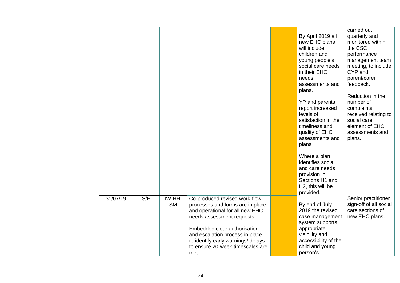|          |     |           |                                    |                                   | carried out                    |
|----------|-----|-----------|------------------------------------|-----------------------------------|--------------------------------|
|          |     |           |                                    | By April 2019 all                 | quarterly and                  |
|          |     |           |                                    | new EHC plans                     | monitored within               |
|          |     |           |                                    | will include                      | the CSC                        |
|          |     |           |                                    | children and                      |                                |
|          |     |           |                                    |                                   | performance                    |
|          |     |           |                                    | young people's                    | management team                |
|          |     |           |                                    | social care needs<br>in their EHC | meeting, to include<br>CYP and |
|          |     |           |                                    | needs                             | parent/carer                   |
|          |     |           |                                    | assessments and                   | feedback.                      |
|          |     |           |                                    | plans.                            |                                |
|          |     |           |                                    |                                   | Reduction in the               |
|          |     |           |                                    | YP and parents                    | number of                      |
|          |     |           |                                    | report increased                  | complaints                     |
|          |     |           |                                    | levels of                         | received relating to           |
|          |     |           |                                    | satisfaction in the               | social care                    |
|          |     |           |                                    | timeliness and                    | element of EHC                 |
|          |     |           |                                    | quality of EHC                    | assessments and                |
|          |     |           |                                    | assessments and                   | plans.                         |
|          |     |           |                                    | plans                             |                                |
|          |     |           |                                    | Where a plan                      |                                |
|          |     |           |                                    | identifies social                 |                                |
|          |     |           |                                    | and care needs                    |                                |
|          |     |           |                                    |                                   |                                |
|          |     |           |                                    | provision in<br>Sections H1 and   |                                |
|          |     |           |                                    |                                   |                                |
|          |     |           |                                    | H2, this will be<br>provided.     |                                |
| 31/07/19 | S/E | JW, HH,   | Co-produced revised work-flow      |                                   | Senior practitioner            |
|          |     | <b>SM</b> | processes and forms are in place   | By end of July                    | sign-off of all social         |
|          |     |           | and operational for all new EHC    | 2019 the revised                  | care sections of               |
|          |     |           | needs assessment requests.         | case management                   | new EHC plans.                 |
|          |     |           |                                    | system supports                   |                                |
|          |     |           | Embedded clear authorisation       | appropriate                       |                                |
|          |     |           | and escalation process in place    | visibility and                    |                                |
|          |     |           | to identify early warnings/ delays | accessibility of the              |                                |
|          |     |           | to ensure 20-week timescales are   | child and young                   |                                |
|          |     |           | met.                               | person's                          |                                |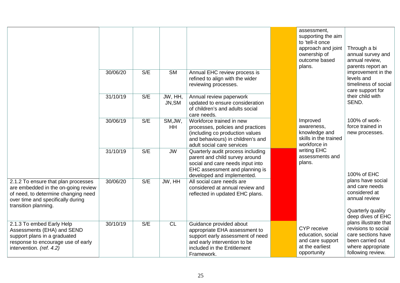|                                                                                                                                                                                |          |     |                      |                                                                                                                                                                           | assessment,<br>supporting the aim<br>to 'tell-it once<br>approach and joint<br>ownership of<br>outcome based<br>plans. | Through a bi<br>annual survey and<br>annual review,<br>parents report an                                                                              |
|--------------------------------------------------------------------------------------------------------------------------------------------------------------------------------|----------|-----|----------------------|---------------------------------------------------------------------------------------------------------------------------------------------------------------------------|------------------------------------------------------------------------------------------------------------------------|-------------------------------------------------------------------------------------------------------------------------------------------------------|
|                                                                                                                                                                                | 30/06/20 | S/E | <b>SM</b>            | Annual EHC review process is<br>refined to align with the wider<br>reviewing processes.                                                                                   |                                                                                                                        | improvement in the<br>levels and<br>timeliness of social<br>care support for                                                                          |
|                                                                                                                                                                                | 31/10/19 | S/E | JW, HH,<br>JN, SM    | Annual review paperwork<br>updated to ensure consideration<br>of children's and adults social<br>care needs.                                                              |                                                                                                                        | their child with<br>SEND.                                                                                                                             |
|                                                                                                                                                                                | 30/06/19 | S/E | SM, JW,<br><b>HH</b> | Workforce trained in new<br>processes, policies and practices<br>(including co production values<br>and behaviours) in children's and<br>adult social care services       | Improved<br>awareness,<br>knowledge and<br>skills in the trained<br>workforce in                                       | 100% of work-<br>force trained in<br>new processes.                                                                                                   |
|                                                                                                                                                                                | 31/10/19 | S/E | <b>JW</b>            | Quarterly audit process including<br>parent and child survey around<br>social and care needs input into<br>EHC assessment and planning is<br>developed and implemented.   | writing EHC<br>assessments and<br>plans.                                                                               | 100% of EHC                                                                                                                                           |
| 2.1.2 To ensure that plan processes<br>are embedded in the on-going review<br>of need, to determine changing need<br>over time and specifically during<br>transition planning. | 30/06/20 | S/E | JW, HH               | All social care needs are<br>considered at annual review and<br>reflected in updated EHC plans.                                                                           |                                                                                                                        | plans have social<br>and care needs<br>considered at<br>annual review<br>Quarterly quality                                                            |
| 2.1.3 To embed Early Help<br>Assessments (EHA) and SEND<br>support plans in a graduated<br>response to encourage use of early<br>intervention. (ref. 4.2)                      | 30/10/19 | S/E | <b>CL</b>            | Guidance provided about<br>appropriate EHA assessment to<br>support early assessment of need<br>and early intervention to be<br>included in the Entitlement<br>Framework. | CYP receive<br>education, social<br>and care support<br>at the earliest<br>opportunity                                 | deep dives of EHC<br>plans illustrate that<br>revisions to social<br>care sections have<br>been carried out<br>where appropriate<br>following review. |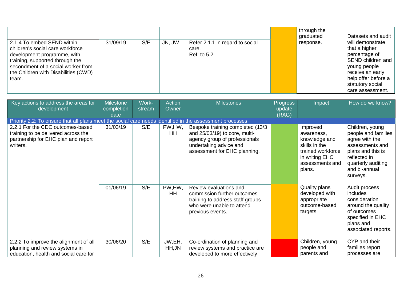| 2.1.4 To embed SEND within<br>children's social care workforce<br>development programme, with<br>training, supported through the<br>secondment of a social worker from<br>the Children with Disabilities (CWD)<br>team. | 31/09/19 | S/E | JN, JW | Refer 2.1.1 in regard to social<br>care.<br>Ref: to 5.2 |  | through the<br>graduated<br>response. | Datasets and audit<br>will demonstrate<br>that a higher<br>percentage of<br>SEND children and<br>young people<br>receive an early<br>help offer before a<br>statutory social<br>care assessment. |
|-------------------------------------------------------------------------------------------------------------------------------------------------------------------------------------------------------------------------|----------|-----|--------|---------------------------------------------------------|--|---------------------------------------|--------------------------------------------------------------------------------------------------------------------------------------------------------------------------------------------------|
|-------------------------------------------------------------------------------------------------------------------------------------------------------------------------------------------------------------------------|----------|-----|--------|---------------------------------------------------------|--|---------------------------------------|--------------------------------------------------------------------------------------------------------------------------------------------------------------------------------------------------|

| Key actions to address the areas for<br>development                                                                        | <b>Milestone</b><br>completion<br>date | Work-<br>stream | <b>Action</b><br>Owner | <b>Milestones</b>                                                                                                                                            | Progress<br>update<br>(RAG) | Impact                                                                                                                       | How do we know?                                                                                                                                                     |
|----------------------------------------------------------------------------------------------------------------------------|----------------------------------------|-----------------|------------------------|--------------------------------------------------------------------------------------------------------------------------------------------------------------|-----------------------------|------------------------------------------------------------------------------------------------------------------------------|---------------------------------------------------------------------------------------------------------------------------------------------------------------------|
| Priority 2.2: To ensure that all plans meet the social care needs identified in the assessment processes.                  |                                        |                 |                        |                                                                                                                                                              |                             |                                                                                                                              |                                                                                                                                                                     |
| 2.2.1 For the CDC outcomes-based<br>training to be delivered across the<br>partnership for EHC plan and report<br>writers. | 31/03/19                               | S/E             | PW, HW,<br>HH          | Bespoke training completed (13/3<br>and 25/03/19) to core, multi-<br>agency group of professionals<br>undertaking advice and<br>assessment for EHC planning. |                             | Improved<br>awareness,<br>knowledge and<br>skills in the<br>trained workforce<br>in writing EHC<br>assessments and<br>plans. | Children, young<br>people and families<br>agree with the<br>assessments and<br>plans and this is<br>reflected in<br>quarterly auditing<br>and bi-annual<br>surveys. |
|                                                                                                                            | 01/06/19                               | S/E             | PW, HW,<br><b>HH</b>   | Review evaluations and<br>commission further outcomes<br>training to address staff groups<br>who were unable to attend<br>previous events.                   |                             | Quality plans<br>developed with<br>appropriate<br>outcome-based<br>targets.                                                  | Audit process<br>includes<br>consideration<br>around the quality<br>of outcomes<br>specified in EHC<br>plans and<br>associated reports.                             |
| 2.2.2 To improve the alignment of all<br>planning and review systems in<br>education, health and social care for           | 30/06/20                               | S/E             | JW,EH,<br>HH, JN       | Co-ordination of planning and<br>review systems and practice are<br>developed to more effectively                                                            |                             | Children, young<br>people and<br>parents and                                                                                 | CYP and their<br>families report<br>processes are                                                                                                                   |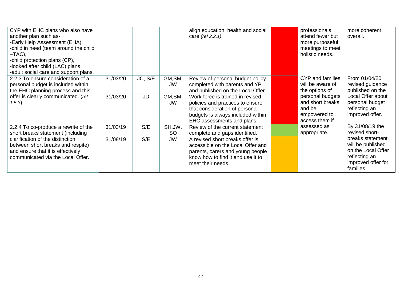| CYP with EHC plans who also have<br>another plan such as-<br>-Early Help Assessment (EHA),<br>-child in need (team around the child<br>–TAC),<br>-child protection plans (CP),<br>-looked after child (LAC) plans<br>-adult social care and support plans. |                      |                      |                                       | align education, health and social<br>care (ref 2.2.1)                                                                                                                                                           | professionals<br>attend fewer but<br>more purposeful<br>meetings to meet<br>holistic needs.              | more coherent<br>overall.                                                                                       |
|------------------------------------------------------------------------------------------------------------------------------------------------------------------------------------------------------------------------------------------------------------|----------------------|----------------------|---------------------------------------|------------------------------------------------------------------------------------------------------------------------------------------------------------------------------------------------------------------|----------------------------------------------------------------------------------------------------------|-----------------------------------------------------------------------------------------------------------------|
| 2.2.3 To ensure consideration of a<br>personal budget is included within<br>the EHC planning process and this<br>offer is clearly communicated. (ref<br>(1.5.3)                                                                                            | 31/03/20<br>31/03/20 | JC, S/E<br><b>JD</b> | GM, SM,<br><b>JW</b><br>GM, SM,<br>JW | Review of personal budget policy<br>completed with parents and YP<br>and published on the Local Offer.<br>Work-force is trained in revised<br>policies and practices to ensure<br>that consideration of personal | CYP and families<br>will be aware of<br>the options of<br>personal budgets<br>and short breaks<br>and be | From 01/04/20<br>revised guidance<br>published on the<br>Local Offer about<br>personal budget<br>reflecting an  |
| 2.2.4 To co-produce a rewrite of the                                                                                                                                                                                                                       | 31/03/19             | S/E                  | SH, JW,                               | budgets is always included within<br>EHC assessments and plans.<br>Review of the current statement                                                                                                               | empowered to<br>access them if<br>assessed as                                                            | improved offer.<br>By 31/08/19 the<br>revised short-                                                            |
| short breaks statement (including<br>clarification of the distinction<br>between short breaks and respite)<br>and ensure that it is effectively<br>communicated via the Local Offer.                                                                       | 31/08/19             | S/E                  | <b>SO</b><br><b>JW</b>                | complete and gaps identified.<br>A revised short breaks offer is<br>accessible on the Local Offer and<br>parents, carers and young people<br>know how to find it and use it to<br>meet their needs.              | appropriate.                                                                                             | breaks statement<br>will be published<br>on the Local Offer<br>reflecting an<br>improved offer for<br>families. |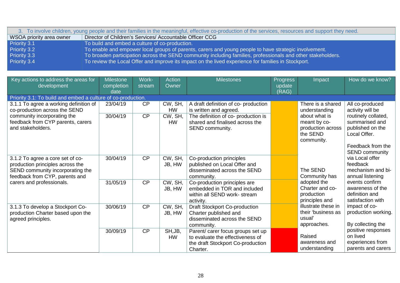| 3. To involve children, young people and their families in the meaningful, effective co-production of the services, resources and support they need. |                                                                                                                  |  |  |  |  |  |  |  |  |
|------------------------------------------------------------------------------------------------------------------------------------------------------|------------------------------------------------------------------------------------------------------------------|--|--|--|--|--|--|--|--|
| WSOA priority area owner                                                                                                                             | Director of Children's Services/ Accountable Officer CCG                                                         |  |  |  |  |  |  |  |  |
| Priority 3.1                                                                                                                                         | To build and embed a culture of co-production.                                                                   |  |  |  |  |  |  |  |  |
| Priority 3.2                                                                                                                                         | To enable and empower local groups of parents, carers and young people to have strategic involvement.            |  |  |  |  |  |  |  |  |
| Priority 3.3                                                                                                                                         | To broaden participation across the SEND community including families, professionals and other stakeholders.     |  |  |  |  |  |  |  |  |
| Priority 3.4                                                                                                                                         | To review the Local Offer and improve its impact on the lived experience for families in Stockport. <sup>1</sup> |  |  |  |  |  |  |  |  |

<span id="page-27-0"></span>

| Key actions to address the areas for<br>development                                                                                        | <b>Milestone</b><br>completion<br>date | Work-<br>stream | Action<br>Owner      | <b>Milestones</b>                                                                                                      | <b>Progress</b><br>update<br>(RAG) | Impact                                                                       | How do we know?                                                                                                         |
|--------------------------------------------------------------------------------------------------------------------------------------------|----------------------------------------|-----------------|----------------------|------------------------------------------------------------------------------------------------------------------------|------------------------------------|------------------------------------------------------------------------------|-------------------------------------------------------------------------------------------------------------------------|
| Priority 3.1: To build and embed a culture of co-production.                                                                               |                                        |                 |                      |                                                                                                                        |                                    |                                                                              |                                                                                                                         |
| 3.1.1 To agree a working definition of<br>co-production across the SEND                                                                    | 23/04/19                               | CP              | CW, SH,<br><b>HW</b> | A draft definition of co- production<br>is written and agreed.                                                         |                                    | There is a shared<br>understanding                                           | All co-produced<br>activity will be                                                                                     |
| community incorporating the<br>feedback from CYP parents, carers<br>and stakeholders.                                                      | 30/04/19                               | CP              | CW, SH,<br><b>HW</b> | The definition of co- production is<br>shared and finalised across the<br>SEND community.                              |                                    | about what is<br>meant by co-<br>production across<br>the SEND<br>community. | routinely collated,<br>summarised and<br>published on the<br>Local Offer.<br>Feedback from the<br><b>SEND community</b> |
| 3.1.2 To agree a core set of co-<br>production principles across the<br>SEND community incorporating the<br>feedback from CYP, parents and | 30/04/19                               | CP              | CW, SH,<br>JB, HW    | Co-production principles<br>published on Local Offer and<br>disseminated across the SEND<br>community.                 |                                    | The SEND<br>Community has                                                    | via Local offer<br>feedback<br>mechanism and bi-<br>annual listening                                                    |
| carers and professionals.                                                                                                                  | 31/05/19                               | CP              | CW, SH,<br>JB, HW    | Co-production principles are<br>embedded in TOR and included<br>within all SEND work- stream<br>activity.              |                                    | adopted the<br>Charter and co-<br>production<br>principles and               | events confirm<br>awareness of the<br>definition and<br>satisfaction with                                               |
| 3.1.3 To develop a Stockport Co-<br>production Charter based upon the<br>agreed principles.                                                | 30/06/19                               | CP              | CW, SH,<br>JB, HW    | <b>Draft Stockport Co-production</b><br>Charter published and<br>disseminated across the SEND<br>community.            |                                    | illustrate these in<br>their 'business as<br>usual'<br>approaches.           | impact of co-<br>production working.<br>By collecting the                                                               |
|                                                                                                                                            | 30/09/19                               | CP              | SH, JB,<br><b>HW</b> | Parent/ carer focus groups set up<br>to evaluate the effectiveness of<br>the draft Stockport Co-production<br>Charter. |                                    | Raised<br>awareness and<br>understanding                                     | positive responses<br>on lived<br>experiences from<br>parents and carers                                                |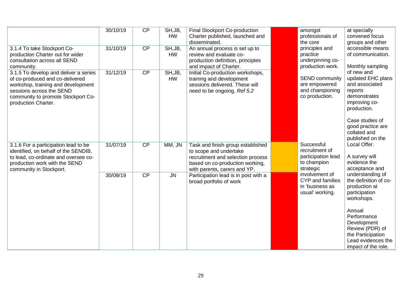|                                                                                                                                                                                                         | 30/10/19 | CP              | SH, JB,<br><b>HW</b> | Final Stockport Co-production<br>Charter published, launched and<br>disseminated.                                                                                   | amongst<br>professionals of<br>the core                                        | at specially<br>convened focus<br>groups and other                                                                                                   |
|---------------------------------------------------------------------------------------------------------------------------------------------------------------------------------------------------------|----------|-----------------|----------------------|---------------------------------------------------------------------------------------------------------------------------------------------------------------------|--------------------------------------------------------------------------------|------------------------------------------------------------------------------------------------------------------------------------------------------|
| 3.1.4 To take Stockport Co-<br>production Charter out for wider<br>consultation across all SEND<br>community.                                                                                           | 31/10/19 | $\overline{CP}$ | SH, JB,<br><b>HW</b> | An annual process is set up to<br>review and evaluate co-<br>production definition, principles<br>and impact of Charter.                                            | principles and<br>practice<br>underpinning co-<br>production work.             | accessible means<br>of communication.<br>Monthly sampling                                                                                            |
| 3.1.5 To develop and deliver a series<br>of co-produced and co-delivered<br>workshop, training and development<br>sessions across the SEND<br>community to promote Stockport Co-<br>production Charter. | 31/12/19 | $\overline{CP}$ | SH, JB,<br><b>HW</b> | Initial Co-production workshops,<br>training and development<br>sessions delivered. These will<br>need to be ongoing. Ref 5.2                                       | <b>SEND community</b><br>are empowered<br>and championing<br>co production.    | of new and<br>updated EHC plans<br>and associated<br>reports<br>demonstrates<br>improving co-<br>production.<br>Case studies of<br>good practice are |
|                                                                                                                                                                                                         |          |                 |                      |                                                                                                                                                                     |                                                                                | collated and<br>published on the                                                                                                                     |
| 3.1.6 For a participation lead to be<br>identified, on behalf of the SENDIB,<br>to lead, co-ordinate and oversee co-<br>production work with the SEND<br>community in Stockport.                        | 31/07/19 | CP              | MM, JN               | Task and finish group established<br>to scope and undertake<br>recruitment and selection process<br>based on co-production working,<br>with parents, carers and YP. | Successful<br>recruitment of<br>participation lead<br>to champion<br>strategic | Local Offer.<br>A survey will<br>evidence the<br>acceptance and                                                                                      |
|                                                                                                                                                                                                         | 30/09/19 | CP              | <b>JN</b>            | Participation lead is in post with a<br>broad portfolio of work                                                                                                     | involvement of<br>CYP and families<br>in 'business as<br>usual' working.       | understanding of<br>the definition of co-<br>production at<br>participation<br>workshops.                                                            |
|                                                                                                                                                                                                         |          |                 |                      |                                                                                                                                                                     |                                                                                | Annual<br>Performance<br>Development<br>Review (PDR) of<br>the Participation<br>Lead evidences the<br>impact of the role.                            |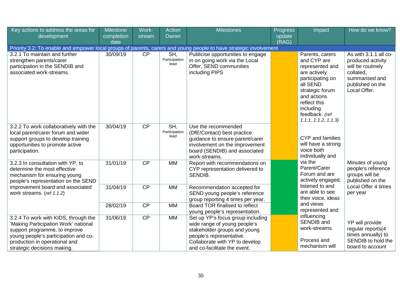| Key actions to address the areas for<br>development                                                                                                                                                                   | Milestone<br>completion<br>date | Work-<br>stream | <b>Action</b><br>Owner       | <b>Milestones</b>                                                                                                                                                                               | <b>Progress</b><br>update<br>(RAG) | Impact                                                                                                                                                                                                    | How do we know?                                                                                                                    |
|-----------------------------------------------------------------------------------------------------------------------------------------------------------------------------------------------------------------------|---------------------------------|-----------------|------------------------------|-------------------------------------------------------------------------------------------------------------------------------------------------------------------------------------------------|------------------------------------|-----------------------------------------------------------------------------------------------------------------------------------------------------------------------------------------------------------|------------------------------------------------------------------------------------------------------------------------------------|
| Priority 3.2: To enable and empower local groups of parents, carers and young people to have strategic involvement                                                                                                    |                                 |                 |                              |                                                                                                                                                                                                 |                                    |                                                                                                                                                                                                           |                                                                                                                                    |
| 3.2.1 To maintain and further<br>strengthen parents/carer<br>participation in the SENDIB and<br>associated work-streams.                                                                                              | 30/09/19                        | $\overline{CP}$ | SH,<br>Participation<br>lead | Publicise opportunities to engage<br>in on going work via the Local<br>Offer, SEND communities<br>including PIPS                                                                                |                                    | Parents, carers<br>and CYP are<br>represented and<br>are actively<br>participating on<br>all SEND<br>strategic forum<br>and actions<br>reflect this<br>including<br>feedback. (ref<br>1.1.1, 1.1.2, 1.1.3 | As with 3.1.1 all co-<br>produced activity<br>will be routinely<br>collated,<br>summarised and<br>published on the<br>Local Offer. |
| 3.2.2 To work collaboratively with the<br>local parent/carer forum and wider<br>support groups to develop training<br>opportunities to promote active<br>participation.                                               | 30/04/19                        | $\overline{CP}$ | SH,<br>Participation<br>lead | Use the recommended<br>(DfE/Contact) best practice<br>guidance to ensure parent/carer<br>involvement on the improvement<br>board (SENDIB) and associated<br>work-streams.                       |                                    | CYP and families<br>will have a strong<br>voice both<br>individually and                                                                                                                                  |                                                                                                                                    |
| 3.2.3 In consultation with YP, to<br>determine the most effective<br>mechanism for ensuring young<br>people's representation on the SEND                                                                              | 31/01/19                        | $\overline{CP}$ | <b>MM</b>                    | Report with recommendations on<br>CYP representation delivered to<br>SENDIB.                                                                                                                    |                                    | via the<br>Parent/Carer<br>Forum and are<br>actively engaged,                                                                                                                                             | Minutes of young<br>people's reference<br>groups will be<br>published on the                                                       |
| improvement board and associated<br>work streams. (ref 1.1.2)                                                                                                                                                         | 31/04/19                        | CP              | <b>MM</b>                    | Recommendation accepted for<br>SEND young people's reference<br>group reporting 4 times per year.                                                                                               |                                    | listened to and<br>are able to see<br>their voice, ideas                                                                                                                                                  | Local Offer 4 times<br>per year                                                                                                    |
|                                                                                                                                                                                                                       | 28/02/19                        | CP              | <b>MM</b>                    | Board TOR finalised to reflect<br>young people's representation.                                                                                                                                |                                    | and views<br>represented and                                                                                                                                                                              |                                                                                                                                    |
| 3.2.4 To work with KIDS, through the<br>'Making Participation Work' national<br>support programme, to improve<br>young people's participation and co-<br>production in operational and<br>strategic decisions making. | 31/06/19                        | CP              | <b>MM</b>                    | Set up YP's focus group including<br>wide range of young people's<br>stakeholder groups and young<br>people's representative.<br>Collaborate with YP to develop<br>and co-facilitate the event. |                                    | influencing<br><b>SENDIB</b> and<br>work-streams.<br>Process and<br>mechanism will                                                                                                                        | YP will provide<br>regular reports(4<br>times annually) to<br>SENDIB to hold the<br>board to account                               |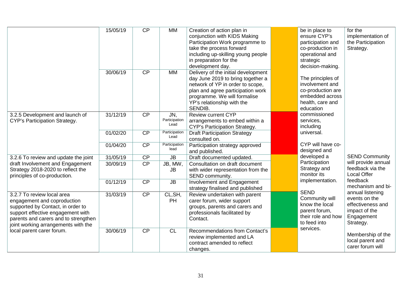|                                                                                                                                                                                                                    | 15/05/19 | CP        | <b>MM</b>                    | Creation of action plan in<br>conjunction with KIDS Making<br>Participation Work programme to<br>take the process forward<br>including up-skilling young people<br>in preparation for the<br>development day.              | be in place to<br>ensure CYP's<br>participation and<br>co-production in<br>operational and<br>strategic<br>decision-making. | for the<br>implementation of<br>the Participation<br>Strategy.                                     |
|--------------------------------------------------------------------------------------------------------------------------------------------------------------------------------------------------------------------|----------|-----------|------------------------------|----------------------------------------------------------------------------------------------------------------------------------------------------------------------------------------------------------------------------|-----------------------------------------------------------------------------------------------------------------------------|----------------------------------------------------------------------------------------------------|
|                                                                                                                                                                                                                    | 30/06/19 | CP        | <b>MM</b>                    | Delivery of the initial development<br>day June 2019 to bring together a<br>network of YP in order to scope,<br>plan and agree participation work<br>programme. We will formalise<br>YP's relationship with the<br>SENDIB. | The principles of<br>involvement and<br>co-production are<br>embedded across<br>health, care and<br>education               |                                                                                                    |
| 3.2.5 Development and launch of<br>CYP's Participation Strategy.                                                                                                                                                   | 31/12/19 | CP        | JN,<br>Participation<br>Lead | <b>Review current CYP</b><br>arrangements to embed within a<br>CYP's Participation Strategy.                                                                                                                               | commissioned<br>services,<br>including                                                                                      |                                                                                                    |
|                                                                                                                                                                                                                    | 01/02/20 | CP        | Participation<br>Lead        | <b>Draft Participation Strategy</b><br>consulted on.                                                                                                                                                                       | universal.                                                                                                                  |                                                                                                    |
|                                                                                                                                                                                                                    | 01/04/20 | CP        | Participation<br>lead        | Participation strategy approved<br>and published.                                                                                                                                                                          | CYP will have co-<br>designed and                                                                                           |                                                                                                    |
| 3.2.6 To review and update the joint                                                                                                                                                                               | 31/05/19 | <b>CP</b> | <b>JB</b>                    | Draft documented updated.                                                                                                                                                                                                  | developed a                                                                                                                 | <b>SEND Community</b>                                                                              |
| draft Involvement and Engagement<br>Strategy 2018-2020 to reflect the<br>principles of co-production.                                                                                                              | 30/09/19 | CP        | JB, MW,<br><b>JB</b>         | Consultation on draft document<br>with wider representation from the<br>SEND community.                                                                                                                                    | Participation<br>Strategy and<br>monitor its                                                                                | will provide annual<br>feedback via the<br><b>Local Offer</b>                                      |
|                                                                                                                                                                                                                    | 01/12/19 | CP        | <b>JB</b>                    | Involvement and Engagement<br>strategy finalised and published                                                                                                                                                             | implementation.                                                                                                             | feedback<br>mechanism and bi-                                                                      |
| 3.2.7 To review local area<br>engagement and coproduction<br>supported by Contact, in order to<br>support effective engagement with<br>parents and carers and to strengthen<br>joint working arrangements with the | 31/03/19 | CP        | CL, SH,<br>PH                | Review undertaken with parent<br>carer forum, wider support<br>groups, parents and carers and<br>professionals facilitated by<br>Contact.                                                                                  | <b>SEND</b><br>Community will<br>know the local<br>parent forum,<br>their role and how<br>to feed into                      | annual listening<br>events on the<br>effectiveness and<br>impact of the<br>Engagement<br>Strategy. |
| local parent carer forum.                                                                                                                                                                                          | 30/06/19 | CP        | CL                           | <b>Recommendations from Contact's</b><br>review implemented and LA<br>contract amended to reflect<br>changes.                                                                                                              | services.                                                                                                                   | Membership of the<br>local parent and<br>carer forum will                                          |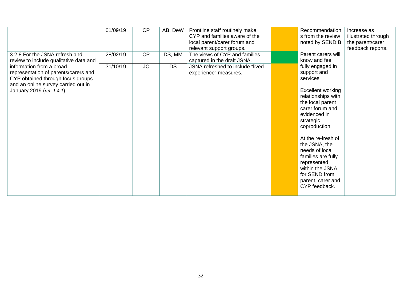|                                                                                                                                                                           | 01/09/19              | CP        | AB, DeW                                                   | Frontline staff routinely make<br>CYP and families aware of the<br>local parent/carer forum and<br>relevant support groups.                          | Recommendation<br>s from the review<br>noted by SENDIB                                                                                                               | increase as<br>illustrated through<br>the parent/carer<br>feedback reports. |
|---------------------------------------------------------------------------------------------------------------------------------------------------------------------------|-----------------------|-----------|-----------------------------------------------------------|------------------------------------------------------------------------------------------------------------------------------------------------------|----------------------------------------------------------------------------------------------------------------------------------------------------------------------|-----------------------------------------------------------------------------|
| 3.2.8 For the JSNA refresh and<br>review to include qualitative data and                                                                                                  | 28/02/19              | CP        | DS, MM                                                    | The views of CYP and families<br>captured in the draft JSNA.                                                                                         | Parent carers will<br>know and feel                                                                                                                                  |                                                                             |
| information from a broad<br>representation of parents/carers and<br>CYP obtained through focus groups<br>and an online survey carried out in<br>January 2019 (ref. 1.4.1) | 31/10/19<br><b>JC</b> | <b>DS</b> | JSNA refreshed to include "lived<br>experience" measures. | fully engaged in<br>support and<br>services<br><b>Excellent working</b><br>relationships with<br>the local parent<br>carer forum and<br>evidenced in |                                                                                                                                                                      |                                                                             |
|                                                                                                                                                                           |                       |           |                                                           |                                                                                                                                                      | strategic<br>coproduction                                                                                                                                            |                                                                             |
|                                                                                                                                                                           |                       |           |                                                           |                                                                                                                                                      | At the re-fresh of<br>the JSNA, the<br>needs of local<br>families are fully<br>represented<br>within the JSNA<br>for SEND from<br>parent, carer and<br>CYP feedback. |                                                                             |
|                                                                                                                                                                           |                       |           |                                                           |                                                                                                                                                      |                                                                                                                                                                      |                                                                             |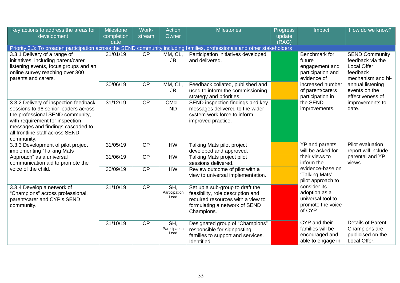| Key actions to address the areas for<br>development                                                                                                                                                                                        | <b>Milestone</b><br>completion<br>date | Work-<br>stream | <b>Action</b><br>Owner       | <b>Milestones</b>                                                                                                                                        | Progress<br>update<br>(RAG) | Impact                                                                             | How do we know?                                                                                  |
|--------------------------------------------------------------------------------------------------------------------------------------------------------------------------------------------------------------------------------------------|----------------------------------------|-----------------|------------------------------|----------------------------------------------------------------------------------------------------------------------------------------------------------|-----------------------------|------------------------------------------------------------------------------------|--------------------------------------------------------------------------------------------------|
| Priority 3.3: To broaden participation across the SEND community including families, professionals and other stakeholders                                                                                                                  |                                        |                 |                              |                                                                                                                                                          |                             |                                                                                    |                                                                                                  |
| 3.3.1 Delivery of a range of<br>initiatives, including parent/carer<br>listening events, focus groups and an<br>online survey reaching over 300<br>parents and carers.                                                                     | 31/01/19                               | $\overline{CP}$ | MM, CL,<br><b>JB</b>         | Participation initiatives developed<br>and delivered.                                                                                                    |                             | Benchmark for<br>future<br>engagement and<br>participation and<br>evidence of      | <b>SEND Community</b><br>feedback via the<br><b>Local Offer</b><br>feedback<br>mechanism and bi- |
|                                                                                                                                                                                                                                            | 30/06/19                               | CP              | MM, CL,<br><b>JB</b>         | Feedback collated, published and<br>used to inform the commissioning<br>strategy and priorities.                                                         |                             | increased number<br>of parent/carers<br>participation in                           | annual listening<br>events on the<br>effectiveness of<br>improvements to<br>date.                |
| 3.3.2 Delivery of inspection feedback<br>sessions to 96 senior leaders across<br>the professional SEND community,<br>with requirement for inspection<br>messages and findings cascaded to<br>all frontline staff across SEND<br>community. | 31/12/19                               | CP              | CMcL,<br><b>ND</b>           | SEND inspection findings and key<br>messages delivered to the wider<br>system work force to inform<br>improved practice.                                 |                             | the SEND<br>improvements.<br>YP and parents                                        |                                                                                                  |
| 3.3.3 Development of pilot project<br>implementing "Talking Mats                                                                                                                                                                           | 31/05/19                               | CP              | <b>HW</b>                    | Talking Mats pilot project<br>developed and approved.                                                                                                    |                             | will be asked for                                                                  | Pilot evaluation<br>report will include                                                          |
| Approach" as a universal<br>communication aid to promote the                                                                                                                                                                               | 31/06/19                               | $\overline{CP}$ | <b>HW</b>                    | Talking Mats project pilot<br>sessions delivered.                                                                                                        |                             | their views to<br>inform the                                                       | parental and YP<br>views.                                                                        |
| voice of the child.                                                                                                                                                                                                                        | 30/09/19                               | CP              | <b>HW</b>                    | Review outcome of pilot with a<br>view to universal implementation.                                                                                      |                             | evidence-base on<br>'Talking Mats'<br>pilot approach to                            |                                                                                                  |
| 3.3.4 Develop a network of<br>"Champions" across professional,<br>parent/carer and CYP's SEND<br>community.                                                                                                                                | 31/10/19                               | $\overline{CP}$ | SH,<br>Participation<br>Lead | Set up a sub-group to draft the<br>feasibility, role description and<br>required resources with a view to<br>formulating a network of SEND<br>Champions. |                             | consider its<br>adoption as a<br>universal tool to<br>promote the voice<br>of CYP. |                                                                                                  |
|                                                                                                                                                                                                                                            | 31/10/19                               | $\overline{CP}$ | SH,<br>Participation<br>Lead | Designated group of "Champions"<br>responsible for signposting<br>families to support and services.<br>Identified.                                       |                             | CYP and their<br>families will be<br>encouraged and<br>able to engage in           | <b>Details of Parent</b><br>Champions are<br>publicised on the<br>Local Offer.                   |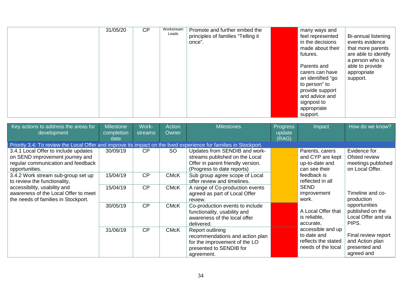|  | 31/05/20 | CP | Workstream<br>Leads | Promote and further embed the<br>principles of families "Telling it<br>once". |  | many ways and<br>feel represented<br>in the decisions<br>made about their<br>futures.<br>Parents and<br>carers can have<br>an identified "go<br>to person" to<br>provide support<br>and advice and<br>signpost to<br>appropriate<br>support. | Bi-annual listening<br>events evidence<br>that more parents<br>are able to identify<br>a person who is<br>able to provide<br>appropriate<br>support. |
|--|----------|----|---------------------|-------------------------------------------------------------------------------|--|----------------------------------------------------------------------------------------------------------------------------------------------------------------------------------------------------------------------------------------------|------------------------------------------------------------------------------------------------------------------------------------------------------|
|--|----------|----|---------------------|-------------------------------------------------------------------------------|--|----------------------------------------------------------------------------------------------------------------------------------------------------------------------------------------------------------------------------------------------|------------------------------------------------------------------------------------------------------------------------------------------------------|

| Key actions to address the areas for<br>development                                                                             | <b>Milestone</b><br>completion<br>date | Work-<br>streams | <b>Action</b><br>Owner | <b>Milestones</b>                                                                                                                  | <b>Progress</b><br>update<br>(RAG) | Impact                                                                        | How do we know?                                                        |
|---------------------------------------------------------------------------------------------------------------------------------|----------------------------------------|------------------|------------------------|------------------------------------------------------------------------------------------------------------------------------------|------------------------------------|-------------------------------------------------------------------------------|------------------------------------------------------------------------|
| Priority 3.4: To review the Local Offer and improve its impact on the lived experience for families in Stockport.               |                                        |                  |                        |                                                                                                                                    |                                    |                                                                               |                                                                        |
| 3.4.1 Local Offer to include updates<br>on SEND improvement journey and<br>regular communication and feedback<br>opportunities. | 30/09/19                               | CP               | SO.                    | Updates from SENDIB and work-<br>streams published on the Local<br>Offer in parent friendly version.<br>(Progress to date reports) |                                    | Parents, carers<br>and CYP are kept<br>up-to-date and<br>can see their        | Evidence for<br>Ofsted review<br>meetings published<br>on Local Offer. |
| 3.4.2 Work stream sub-group set up<br>to review the functionality,                                                              | 15/04/19                               | CP               | <b>CMcK</b>            | Sub group agree scope of Local<br>offer review and timelines.                                                                      |                                    | feedback is<br>reflected in all                                               |                                                                        |
| accessibility, usability and<br>awareness of the Local Offer to meet<br>the needs of families in Stockport.                     | 15/04/19                               | CP               | <b>CMcK</b>            | A range of Co-production events<br>agreed as part of Local Offer<br>review.                                                        |                                    | <b>SEND</b><br>improvement<br>work.                                           | Timeline and co-<br>production                                         |
|                                                                                                                                 | 30/05/19                               | CP               | <b>CMcK</b>            | Co-production events to include<br>functionality, usability and<br>awareness of the local offer<br>delivered.                      |                                    | A Local Offer that<br>is reliable,<br>accurate,                               | opportunities<br>published on the<br>Local Offer and via<br>PIPS.      |
|                                                                                                                                 | 31/06/19                               | CP               | <b>CMcK</b>            | Report outlining<br>recommendations and action plan<br>for the improvement of the LO<br>presented to SENDIB for<br>agreement.      |                                    | accessible and up<br>to date and<br>reflects the stated<br>needs of the local | Final review report<br>and Action plan<br>presented and<br>agreed and  |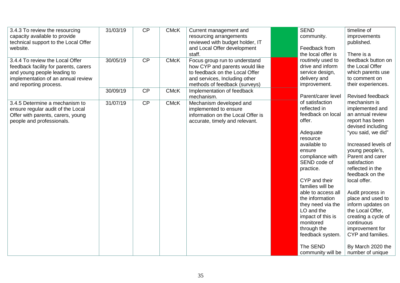| 3.4.3 To review the resourcing<br>capacity available to provide<br>technical support to the Local Offer<br>website.                                                     | 31/03/19 | CP | <b>CMcK</b> | Current management and<br>resourcing arrangements<br>reviewed with budget holder, IT<br>and Local Offer development<br>staff.                                       | <b>SEND</b><br>community.<br>Feedback from<br>the local offer is                                                                                                                                                                                                                                                                                                                        | timeline of<br>improvements<br>published.<br>There is a                                                                                                                                                                                                                                                                                                                                                                                                        |
|-------------------------------------------------------------------------------------------------------------------------------------------------------------------------|----------|----|-------------|---------------------------------------------------------------------------------------------------------------------------------------------------------------------|-----------------------------------------------------------------------------------------------------------------------------------------------------------------------------------------------------------------------------------------------------------------------------------------------------------------------------------------------------------------------------------------|----------------------------------------------------------------------------------------------------------------------------------------------------------------------------------------------------------------------------------------------------------------------------------------------------------------------------------------------------------------------------------------------------------------------------------------------------------------|
| 3.4.4 To review the Local Offer<br>feedback facility for parents, carers<br>and young people leading to<br>implementation of an annual review<br>and reporting process. | 30/05/19 | CP | <b>CMcK</b> | Focus group run to understand<br>how CYP and parents would like<br>to feedback on the Local Offer<br>and services, Including other<br>methods of feedback (surveys) | routinely used to<br>drive and inform<br>service design,<br>delivery and<br>improvement.                                                                                                                                                                                                                                                                                                | feedback button on<br>the Local Offer<br>which parents use<br>to comment on<br>their experiences.                                                                                                                                                                                                                                                                                                                                                              |
|                                                                                                                                                                         | 30/09/19 | CP | <b>CMcK</b> | Implementation of feedback<br>mechanism.                                                                                                                            | Parent/carer level                                                                                                                                                                                                                                                                                                                                                                      | Revised feedback                                                                                                                                                                                                                                                                                                                                                                                                                                               |
| 3.4.5 Determine a mechanism to<br>ensure regular audit of the Local<br>Offer with parents, carers, young<br>people and professionals.                                   | 31/07/19 | CP | <b>CMcK</b> | Mechanism developed and<br>implemented to ensure<br>information on the Local Offer is<br>accurate, timely and relevant.                                             | of satisfaction<br>reflected in<br>feedback on local<br>offer.<br>Adequate<br>resource<br>available to<br>ensure<br>compliance with<br>SEND code of<br>practice.<br>CYP and their<br>families will be<br>able to access all<br>the information<br>they need via the<br>LO and the<br>impact of this is<br>monitored<br>through the<br>feedback system.<br>The SEND<br>community will be | mechanism is<br>implemented and<br>an annual review<br>report has been<br>devised including<br>"you said, we did"<br>Increased levels of<br>young people's,<br>Parent and carer<br>satisfaction<br>reflected in the<br>feedback on the<br>local offer.<br>Audit process in<br>place and used to<br>inform updates on<br>the Local Offer,<br>creating a cycle of<br>continuous<br>improvement for<br>CYP and families.<br>By March 2020 the<br>number of unique |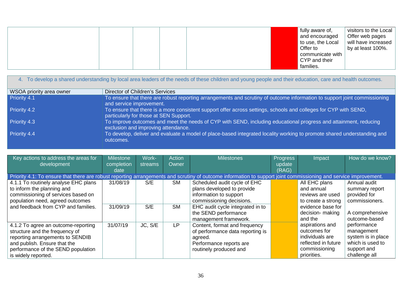|  |  | fully aware of,<br>and encouraged<br>to use, the Local<br>Offer to | visitors to the Local<br>Offer web pages<br>will have increased<br>by at least 100%. |
|--|--|--------------------------------------------------------------------|--------------------------------------------------------------------------------------|
|  |  | communicate with<br>CYP and their                                  |                                                                                      |
|  |  | families.                                                          |                                                                                      |

|                          | 4. To develop a shared understanding by local area leaders of the needs of these children and young people and their education, care and health outcomes.  |
|--------------------------|------------------------------------------------------------------------------------------------------------------------------------------------------------|
| WSOA priority area owner | <b>Director of Children's Services</b>                                                                                                                     |
| Priority 4.1             | To ensure that there are robust reporting arrangements and scrutiny of outcome information to support joint commissioning<br>and service improvement.      |
| Priority 4.2             | To ensure that there is a more consistent support offer across settings, schools and colleges for CYP with SEND,<br>particularly for those at SEN Support. |
| Priority 4.3             | To improve outcomes and meet the needs of CYP with SEND, including educational progress and attainment, reducing<br>exclusion and improving attendance.    |
| Priority 4.4             | To develop, deliver and evaluate a model of place-based integrated locality working to promote shared understanding and<br>outcomes.                       |

<span id="page-35-0"></span>

| Key actions to address the areas for<br>development                                                                                                                                                    | <b>Milestone</b><br>completion<br>date | Work-<br>streams | <b>Action</b><br>Owner | <b>Milestones</b>                                                                                                                                                                                     | <b>Progress</b><br>update<br>(RAG) | Impact                                                                                                                    | How do we know?                                                                                      |
|--------------------------------------------------------------------------------------------------------------------------------------------------------------------------------------------------------|----------------------------------------|------------------|------------------------|-------------------------------------------------------------------------------------------------------------------------------------------------------------------------------------------------------|------------------------------------|---------------------------------------------------------------------------------------------------------------------------|------------------------------------------------------------------------------------------------------|
| Priority 4.1: To ensure that there are robust reporting arrangements and scrutiny of outcome information to support joint commissioning and service improvement.                                       |                                        |                  |                        |                                                                                                                                                                                                       |                                    |                                                                                                                           |                                                                                                      |
| 4.1.1 To routinely analyse EHC plans<br>to inform the planning and<br>commissioning of services based on<br>population need, agreed outcomes<br>and feedback from CYP and families.                    | 31/08/19<br>31/09/19                   | S/E<br>S/E       | <b>SM</b><br><b>SM</b> | Scheduled audit cycle of EHC<br>plans developed to provide<br>information to support<br>commissioning decisions.<br>EHC audit cycle integrated in to<br>the SEND performance<br>management framework. |                                    | All EHC plans<br>and annual<br>reviews are used<br>to create a strong<br>evidence base for<br>decision- making<br>and the | Annual audit<br>summary report<br>provided for<br>commissioners.<br>A comprehensive<br>outcome-based |
| 4.1.2 To agree an outcome-reporting<br>structure and the frequency of<br>reporting arrangements to SENDIB<br>and publish. Ensure that the<br>performance of the SEND population<br>is widely reported. | 31/07/19                               | JC, S/E          | <b>LP</b>              | Content, format and frequency<br>of performance data reporting is<br>agreed.<br>Performance reports are<br>routinely produced and                                                                     |                                    | aspirations and<br>outcomes for<br>individuals are<br>reflected in future<br>commissioning<br>priorities.                 | performance<br>management<br>system is in place<br>which is used to<br>support and<br>challenge all  |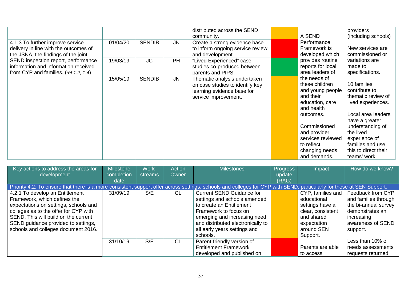| 4.1.3 To further improve service<br>delivery in line with the outcomes of<br>the JSNA, the findings of the joint<br>SEND inspection report, performance<br>information and information received<br>from CYP and families. (ref 1.2, 1.4) | 01/04/20 | <b>SENDIB</b> | <b>JN</b> | distributed across the SEND<br>community.<br>Create a strong evidence base<br>to inform ongoing service review<br>and development. | A SEND<br>Performance<br>Framework is<br>developed which                                                                                                                                                           | providers<br>(including schools)<br>New services are<br>commissioned or                                                                                                                                                       |
|------------------------------------------------------------------------------------------------------------------------------------------------------------------------------------------------------------------------------------------|----------|---------------|-----------|------------------------------------------------------------------------------------------------------------------------------------|--------------------------------------------------------------------------------------------------------------------------------------------------------------------------------------------------------------------|-------------------------------------------------------------------------------------------------------------------------------------------------------------------------------------------------------------------------------|
|                                                                                                                                                                                                                                          | 19/03/19 | <b>JC</b>     | <b>PH</b> | "Lived Experienced" case<br>studies co-produced between<br>parents and PIPS.                                                       | provides routine<br>reports for local<br>area leaders of                                                                                                                                                           | variations are<br>made to<br>specifications.                                                                                                                                                                                  |
|                                                                                                                                                                                                                                          | 15/05/19 | <b>SENDIB</b> | <b>JN</b> | Thematic analysis undertaken<br>on case studies to identify key<br>learning evidence base for<br>service improvement.              | the needs of<br>these children<br>and young people<br>and their<br>education, care<br>and health<br>outcomes.<br>Commissioned<br>and provider<br>services reviewed<br>to reflect<br>changing needs<br>and demands. | 10 families<br>contribute to<br>thematic review of<br>lived experiences.<br>Local area leaders<br>have a greater<br>understanding of<br>the lived<br>experience of<br>families and use<br>this to direct their<br>teams' work |

| Key actions to address the areas for                                                                                                                                  | <b>Milestone</b> | Work-   | <b>Action</b> | <b>Milestones</b>                 | <b>Progress</b> | Impact                   | How do we know?      |
|-----------------------------------------------------------------------------------------------------------------------------------------------------------------------|------------------|---------|---------------|-----------------------------------|-----------------|--------------------------|----------------------|
| development                                                                                                                                                           | completion       | streams | Owner         |                                   | update          |                          |                      |
|                                                                                                                                                                       | date             |         |               |                                   | (RAG)           |                          |                      |
| Priority 4.2: To ensure that there is a more consistent support offer across settings, schools and colleges for CYP with SEND, particularly for those at SEN Support. |                  |         |               |                                   |                 |                          |                      |
| 4.2.1 To develop an Entitlement                                                                                                                                       | 31/09/19         | S/E     | <b>CL</b>     | <b>Current SEND Guidance for</b>  |                 | $CYP$ , families and $ $ | Feedback from CYP    |
| Framework, which defines the                                                                                                                                          |                  |         |               | settings and schools amended      |                 | educational              | and families through |
| expectations on settings, schools and                                                                                                                                 |                  |         |               | to create an Entitlement          |                 | settings have a          | the bi-annual survey |
| colleges as to the offer for CYP with                                                                                                                                 |                  |         |               | Framework to focus on             |                 | clear, consistent        | demonstrates an      |
| SEND. This will build on the current                                                                                                                                  |                  |         |               | emerging and increasing need      |                 | and shared               | increasing           |
| SEND guidance provided to settings,                                                                                                                                   |                  |         |               | and distributed electronically to |                 | expectation              | awareness of SEND    |
| schools and colleges document 2016.                                                                                                                                   |                  |         |               | all early years settings and      |                 | around SEN               | support.             |
|                                                                                                                                                                       |                  |         |               | schools.                          |                 | Support.                 |                      |
|                                                                                                                                                                       | 31/10/19         | S/E     | CL            | Parent-friendly version of        |                 |                          | Less than 10% of     |
|                                                                                                                                                                       |                  |         |               | <b>Entitlement Framework</b>      |                 | Parents are able         | needs assessments    |
|                                                                                                                                                                       |                  |         |               | developed and published on        |                 | to access                | requests returned    |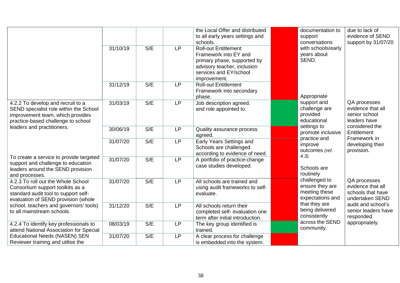|                                                      |          |     |           | the Local Offer and distributed  | documentation to            | due to lack of      |
|------------------------------------------------------|----------|-----|-----------|----------------------------------|-----------------------------|---------------------|
|                                                      |          |     |           | to all early years settings and  | support                     | evidence of SEND    |
|                                                      |          |     |           | schools.                         | conversations               | support by 31/07/20 |
|                                                      | 31/10/19 | S/E | <b>LP</b> | <b>Roll-out Entitlement</b>      | with schools/early          |                     |
|                                                      |          |     |           | Framework into EY and            | years about                 |                     |
|                                                      |          |     |           | primary phase, supported by      | SEND.                       |                     |
|                                                      |          |     |           | advisory teacher, inclusion      |                             |                     |
|                                                      |          |     |           | services and EY/school           |                             |                     |
|                                                      |          |     |           | improvement.                     |                             |                     |
|                                                      | 31/12/19 | S/E | <b>LP</b> | <b>Roll-out Entitlement</b>      |                             |                     |
|                                                      |          |     |           | Framework into secondary         |                             |                     |
|                                                      |          |     |           | phase.                           | Appropriate                 |                     |
| 4.2.2 To develop and recruit to a                    | 31/03/19 | S/E | <b>LP</b> | Job description agreed.          | support and                 | QA processes        |
| SEND specialist role within the School               |          |     |           | and role appointed to.           | challenge are               | evidence that all   |
| Improvement team, which provides                     |          |     |           |                                  | provided                    | senior school       |
| practice-based challenge to school                   |          |     |           |                                  | educational                 | leaders have        |
| leaders and practitioners.                           | 30/06/19 | S/E | <b>LP</b> | Quality assurance process        | settings to                 | considered the      |
|                                                      |          |     |           | agreed.                          | promote inclusive           | Entitlement         |
|                                                      | 31/07/20 | S/E | <b>LP</b> | Early Years Settings and         | practice and                | Framework in        |
|                                                      |          |     |           | Schools are challenged           | improve                     | developing their    |
|                                                      |          |     |           | according to evidence of need.   | outcomes (ref.<br>$(4.3)$ . | provision.          |
| To create a service to provide targeted              | 31/07/20 | S/E | <b>LP</b> | A portfolio of practice-change   |                             |                     |
| support and challenge to education                   |          |     |           | case studies developed.          | Schools are                 |                     |
| leaders around the SEND provision                    |          |     |           |                                  | routinely                   |                     |
| and processes.<br>4.2.3 To roll out the Whole School | 31/07/20 | S/E | <b>LP</b> | All schools are trained and      | challenged to               | QA processes        |
| Consortium support toolkits as a                     |          |     |           | using audit frameworks to self-  | ensure they are             | evidence that all   |
| standard audit tool to support self-                 |          |     |           | evaluate.                        | meeting these               | schools that have   |
| evaluation of SEND provision (whole                  |          |     |           |                                  | expectations and            | undertaken SEND     |
| school, teachers and governors' tools)               | 31/12/20 | S/E | <b>LP</b> | All schools return their         | that they are               | audit and school's  |
| to all mainstream schools.                           |          |     |           | completed self- evaluation one   | being delivered             | senior leaders have |
|                                                      |          |     |           | term after initial introduction. | consistently                | responded           |
| 4.2.4 To identify key professionals to               | 08/03/19 | S/E | <b>LP</b> | The key group identified is      | across the SEND             | appropriately.      |
| attend National Association for Special              |          |     |           | trained.                         | community.                  |                     |
| <b>Educational Needs (NASEN) SEN</b>                 | 31/07/20 | S/E | <b>LP</b> | A clear process for challenge    |                             |                     |
| Reviewer training and utilise the                    |          |     |           | is embedded into the system.     |                             |                     |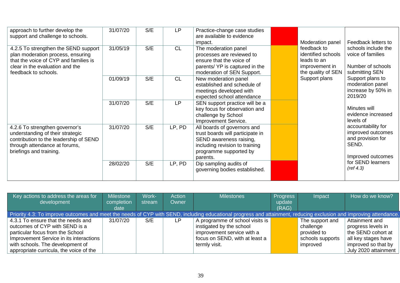| approach to further develop the<br>support and challenge to schools.                                                                                                          | 31/07/20 | S/E | <b>LP</b> | Practice-change case studies<br>are available to evidence<br>impact.                                                                                               | Moderation panel                                                                         | Feedback letters to                                                                        |
|-------------------------------------------------------------------------------------------------------------------------------------------------------------------------------|----------|-----|-----------|--------------------------------------------------------------------------------------------------------------------------------------------------------------------|------------------------------------------------------------------------------------------|--------------------------------------------------------------------------------------------|
| 4.2.5 To strengthen the SEND support<br>plan moderation process, ensuring<br>that the voice of CYP and families is<br>clear in the evaluation and the<br>feedback to schools. | 31/05/19 | S/E | <b>CL</b> | The moderation panel<br>processes are reviewed to<br>ensure that the voice of<br>parents/YP is captured in the<br>moderation of SEN Support.                       | feedback to<br>identified schools<br>leads to an<br>improvement in<br>the quality of SEN | schools include the<br>voice of families<br>Number of schools<br>submitting SEN            |
|                                                                                                                                                                               | 01/09/19 | S/E | <b>CL</b> | New moderation panel<br>established and schedule of<br>meetings developed with<br>expected school attendance                                                       | Support plans                                                                            | Support plans to<br>moderation panel<br>increase by 50% in<br>2019/20                      |
|                                                                                                                                                                               | 31/07/20 | S/E | <b>LP</b> | SEN support practice will be a<br>key focus for observation and<br>challenge by School<br>Improvement Service.                                                     |                                                                                          | Minutes will<br>evidence increased<br>levels of                                            |
| 4.2.6 To strengthen governor's<br>understanding of their strategic<br>contribution to the leadership of SEND<br>through attendance at forums,<br>briefings and training.      | 31/07/20 | S/E | LP, PD    | All boards of governors and<br>trust boards will participate in<br>SEND awareness raising,<br>including revision to training<br>programme supported by<br>parents. |                                                                                          | accountability for<br>improved outcomes<br>and provision for<br>SEND.<br>Improved outcomes |
|                                                                                                                                                                               | 28/02/20 | S/E | LP, PD    | Dip sampling audits of<br>governing bodies established.                                                                                                            |                                                                                          | for SEND learners<br>(ref 4.3)                                                             |

| Key actions to address the areas for                                                                                                                               | Milestone  | Work-  | Action | <b>Milestones</b>               | <b>Progress</b> | Impact           | How do we know?      |
|--------------------------------------------------------------------------------------------------------------------------------------------------------------------|------------|--------|--------|---------------------------------|-----------------|------------------|----------------------|
| development                                                                                                                                                        | completion | stream | Owner  |                                 | update          |                  |                      |
|                                                                                                                                                                    | date       |        |        |                                 | (RAG)           |                  |                      |
| Priority 4.3: To improve outcomes and meet the needs of CYP with SEND, including educational progress and attainment, reducing exclusion and improving attendance. |            |        |        |                                 |                 |                  |                      |
| 4.3.1 To ensure that the needs and                                                                                                                                 | 31/07/20   | S/E    | LP     | A programme of school visits is |                 | The support and  | Attainment and       |
| outcomes of CYP with SEND is a                                                                                                                                     |            |        |        | instigated by the school        |                 | challenge        | progress levels in   |
| particular focus from the School                                                                                                                                   |            |        |        | improvement service with a      |                 | provided to      | the SEND cohort at   |
| Improvement Service in its interactions                                                                                                                            |            |        |        | focus on SEND, with at least a  |                 | schools supports | all key stages have  |
| with schools. The development of                                                                                                                                   |            |        |        | termly visit.                   |                 | improved         | improved so that by  |
| appropriate curricula, the voice of the                                                                                                                            |            |        |        |                                 |                 |                  | July 2020 attainment |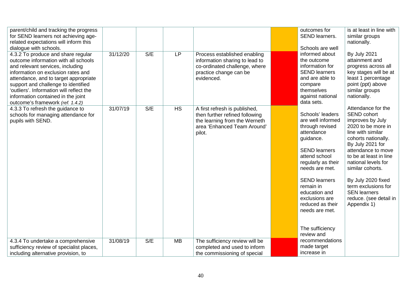| parent/child and tracking the progress<br>for SEND learners not achieving age-<br>related expectations will inform this<br>dialogue with schools.                                                                                                                                                                                                          |          |     |           |                                                                                                                                           | outcomes for<br>SEND learners.<br>Schools are well                                                                                                                                                                                                                                                                  | is at least in line with<br>similar groups<br>nationally.                                                                                                                                                                                                                                                                                                  |
|------------------------------------------------------------------------------------------------------------------------------------------------------------------------------------------------------------------------------------------------------------------------------------------------------------------------------------------------------------|----------|-----|-----------|-------------------------------------------------------------------------------------------------------------------------------------------|---------------------------------------------------------------------------------------------------------------------------------------------------------------------------------------------------------------------------------------------------------------------------------------------------------------------|------------------------------------------------------------------------------------------------------------------------------------------------------------------------------------------------------------------------------------------------------------------------------------------------------------------------------------------------------------|
| 4.3.2 To produce and share regular<br>outcome information with all schools<br>and relevant services, including<br>information on exclusion rates and<br>attendance, and to target appropriate<br>support and challenge to identified<br>'outliers'. Information will reflect the<br>information contained in the joint<br>outcome's framework (ref. 1.4.2) | 31/12/20 | S/E | <b>LP</b> | Process established enabling<br>information sharing to lead to<br>co-ordinated challenge, where<br>practice change can be<br>evidenced.   | informed about<br>the outcome<br>information for<br><b>SEND learners</b><br>and are able to<br>compare<br>themselves<br>against national<br>data sets.                                                                                                                                                              | <b>By July 2021</b><br>attainment and<br>progress across all<br>key stages will be at<br>least 1 percentage<br>point (ppt) above<br>similar groups<br>nationally.                                                                                                                                                                                          |
| 4.3.3 To refresh the guidance to<br>schools for managing attendance for<br>pupils with SEND.                                                                                                                                                                                                                                                               | 31/07/19 | S/E | <b>HS</b> | A first refresh is published,<br>then further refined following<br>the learning from the Werneth<br>area 'Enhanced Team Around'<br>pilot. | Schools' leaders<br>are well informed<br>through revised<br>attendance<br>guidance.<br><b>SEND learners</b><br>attend school<br>regularly as their<br>needs are met.<br><b>SEND learners</b><br>remain in<br>education and<br>exclusions are<br>reduced as their<br>needs are met.<br>The sufficiency<br>review and | Attendance for the<br><b>SEND cohort</b><br>improves by July<br>2020 to be more in<br>line with similar<br>cohorts nationally.<br>By July 2021 for<br>attendance to move<br>to be at least in line<br>national levels for<br>similar cohorts.<br>By July 2020 fixed<br>term exclusions for<br><b>SEN</b> learners<br>reduce. (see detail in<br>Appendix 1) |
| 4.3.4 To undertake a comprehensive<br>sufficiency review of specialist places,<br>including alternative provision, to                                                                                                                                                                                                                                      | 31/08/19 | S/E | <b>MB</b> | The sufficiency review will be<br>completed and used to inform<br>the commissioning of special                                            | recommendations<br>made target<br>increase in                                                                                                                                                                                                                                                                       |                                                                                                                                                                                                                                                                                                                                                            |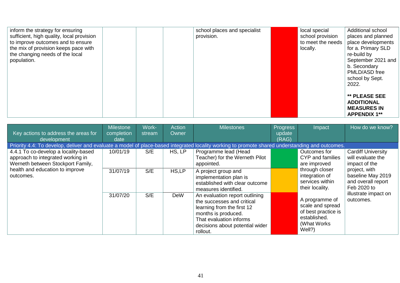| inform the strategy for ensuring<br>sufficient, high quality, local provision<br>to improve outcomes and to ensure<br>the mix of provision keeps pace with<br>the changing needs of the local<br>population. | school places and specialist<br>provision. | local special<br>school provision<br>to meet the needs<br>locally. | Additional school<br>places and planned<br>place developments<br>for a. Primary SLD<br>re-build by<br>September 2021 and<br>b. Secondary<br>PMLD/ASD free<br>school by Sept.<br>2022. |
|--------------------------------------------------------------------------------------------------------------------------------------------------------------------------------------------------------------|--------------------------------------------|--------------------------------------------------------------------|---------------------------------------------------------------------------------------------------------------------------------------------------------------------------------------|
|                                                                                                                                                                                                              |                                            |                                                                    | ** PLEASE SEE<br><b>ADDITIONAL</b><br><b>MEASURES IN</b><br><b>APPENDIX 1**</b>                                                                                                       |

| Key actions to address the areas for                                                                                                                           | <b>Milestone</b><br>completion | Work-<br>stream | <b>Action</b><br>Owner | <b>Milestones</b>                                                                                                                                                                           | <b>Progress</b><br>update | Impact                                                                                              | How do we know?                                                         |
|----------------------------------------------------------------------------------------------------------------------------------------------------------------|--------------------------------|-----------------|------------------------|---------------------------------------------------------------------------------------------------------------------------------------------------------------------------------------------|---------------------------|-----------------------------------------------------------------------------------------------------|-------------------------------------------------------------------------|
| development                                                                                                                                                    | date                           |                 |                        |                                                                                                                                                                                             | (RAG)                     |                                                                                                     |                                                                         |
| Priority 4.4: To develop, deliver and evaluate a model of place-based integrated locality working to promote shared understanding and outcomes.                |                                |                 |                        |                                                                                                                                                                                             |                           |                                                                                                     |                                                                         |
| 4.4.1 To co-develop a locality-based<br>approach to integrated working in<br>Werneth between Stockport Family,<br>health and education to improve<br>outcomes. | 10/01/19                       | S/E             | HS, LP                 | Programme lead (Head<br>Teacher) for the Werneth Pilot<br>appointed.                                                                                                                        |                           | Outcomes for<br>CYP and families<br>are improved                                                    | <b>Cardiff University</b><br>will evaluate the<br>impact of the         |
|                                                                                                                                                                | 31/07/19                       | S/E             | HS,LP                  | A project group and<br>implementation plan is<br>established with clear outcome<br>measures identified.                                                                                     |                           | through closer<br>integration of<br>services within<br>their locality.                              | project, with<br>baseline May 2019<br>and overall report<br>Feb 2020 to |
|                                                                                                                                                                | 31/07/20                       | S/E             | <b>DeW</b>             | An evaluation report outlining<br>the successes and critical<br>learning from the first 12<br>months is produced.<br>That evaluation informs<br>decisions about potential wider<br>rollout. |                           | A programme of<br>scale and spread<br>of best practice is<br>established.<br>(What Works)<br>Well?) | illustrate impact on<br>outcomes.                                       |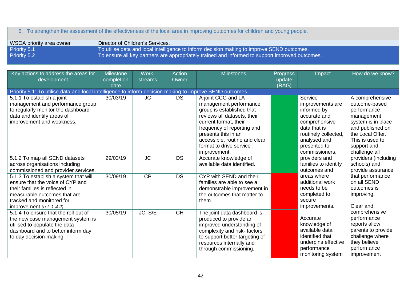## 5. To strengthen the assessment of the effectiveness of the local area in improving outcomes for children and young people.

| WSOA priority area owner | Director of Children's Services.                                                                |
|--------------------------|-------------------------------------------------------------------------------------------------|
| Priority 5.1             | To utilise data and local intelligence to inform decision making to improve SEND outcomes.      |
| <b>Priority 5.2</b>      | To ensure all key partners are appropriately trained and informed to support improved outcomes. |

<span id="page-41-0"></span>

| Key actions to address the areas for<br>development                                                                                                                                                  | <b>Milestone</b><br>completion | Work-<br>streams | Action<br>Owner | <b>Milestones</b>                                                                                                                                                                                                                                                  | <b>Progress</b><br>update | Impact                                                                                                                                                                | How do we know?                                                                                                                                                                |
|------------------------------------------------------------------------------------------------------------------------------------------------------------------------------------------------------|--------------------------------|------------------|-----------------|--------------------------------------------------------------------------------------------------------------------------------------------------------------------------------------------------------------------------------------------------------------------|---------------------------|-----------------------------------------------------------------------------------------------------------------------------------------------------------------------|--------------------------------------------------------------------------------------------------------------------------------------------------------------------------------|
|                                                                                                                                                                                                      | date                           |                  |                 |                                                                                                                                                                                                                                                                    | (RAG)                     |                                                                                                                                                                       |                                                                                                                                                                                |
| Priority 5.1: To utilise data and local intelligence to inform decision making to improve SEND outcomes.                                                                                             |                                |                  |                 |                                                                                                                                                                                                                                                                    |                           |                                                                                                                                                                       |                                                                                                                                                                                |
| 5.1.1 To establish a joint<br>management and performance group<br>to regularly monitor the dashboard<br>data and identify areas of<br>improvement and weakness.                                      | 30/03/19                       | <b>JC</b>        | <b>DS</b>       | A joint CCG and LA<br>management performance<br>group is established that<br>reviews all datasets, their<br>current format, their<br>frequency of reporting and<br>presents this in an<br>accessible, routine and clear<br>format to drive service<br>improvement. |                           | Service<br>improvements are<br>informed by<br>accurate and<br>comprehensive<br>data that is<br>routinely collected,<br>analysed and<br>presented to<br>commissioners, | A comprehensive<br>outcome-based<br>performance<br>management<br>system is in place<br>and published on<br>the Local Offer.<br>This is used to<br>support and<br>challenge all |
| 5.1.2 To map all SEND datasets<br>across organisations including<br>commissioned and provider services.                                                                                              | 29/03/19                       | <b>JC</b>        | <b>DS</b>       | Accurate knowledge of<br>available data identified.                                                                                                                                                                                                                |                           | providers and<br>families to identify<br>outcomes and                                                                                                                 | providers (including<br>schools) and<br>provide assurance                                                                                                                      |
| 5.1.3 To establish a system that will<br>ensure that the voice of CYP and<br>their families is reflected in<br>measurable outcomes that are<br>tracked and monitored for<br>improvement (ref. 1.4.2) | 30/09/19                       | CP               | <b>DS</b>       | CYP with SEND and their<br>families are able to see a<br>demonstrable improvement in<br>the outcomes that matter to<br>them.                                                                                                                                       |                           | areas where<br>additional work<br>needs to be<br>completed to<br>secure<br>improvements.                                                                              | that performance<br>on all SEND<br>outcomes is<br>improving.<br>Clear and                                                                                                      |
| 5.1.4 To ensure that the roll-out of<br>the new case management system is<br>utilised to populate the data<br>dashboard and to better inform day<br>to day decision-making.                          | 30/05/19                       | JC, S/E          | <b>CH</b>       | The joint data dashboard is<br>produced to provide an<br>improved understanding of<br>complexity and risk-factors<br>to support better targeting of<br>resources internally and<br>through commissioning.                                                          |                           | Accurate<br>knowledge of<br>available data<br>identified that<br>underpins effective<br>performance<br>monitoring system                                              | comprehensive<br>performance<br>reports allow<br>parents to provide<br>challenge where<br>they believe<br>performance<br>improvement                                           |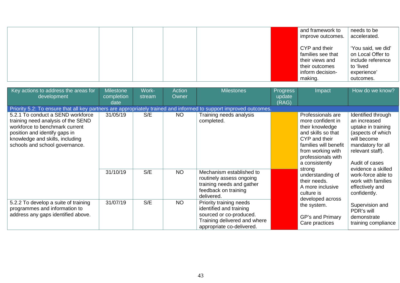|  |  | and framework to<br>improve outcomes.                                                                  | needs to be<br>accelerated.                                                                           |
|--|--|--------------------------------------------------------------------------------------------------------|-------------------------------------------------------------------------------------------------------|
|  |  | CYP and their<br>families see that<br>their views and<br>their outcomes<br>inform decision-<br>making. | 'You said, we did'<br>on Local Offer to<br>include reference<br>to 'lived<br>experience'<br>outcomes. |

| Key actions to address the areas for<br>development                                                                                                                                                             | <b>Milestone</b><br>completion<br>date | Work-<br>stream | <b>Action</b><br>Owner                                                                                                                     | <b>Milestones</b>                                                                                                       | <b>Progress</b><br>update<br>(RAG)                | Impact                                                                                                                                                                                                                                                                                     | How do we know?                                                                                                                                                                                                                                              |
|-----------------------------------------------------------------------------------------------------------------------------------------------------------------------------------------------------------------|----------------------------------------|-----------------|--------------------------------------------------------------------------------------------------------------------------------------------|-------------------------------------------------------------------------------------------------------------------------|---------------------------------------------------|--------------------------------------------------------------------------------------------------------------------------------------------------------------------------------------------------------------------------------------------------------------------------------------------|--------------------------------------------------------------------------------------------------------------------------------------------------------------------------------------------------------------------------------------------------------------|
| Priority 5.2: To ensure that all key partners are appropriately trained and informed to support improved outcomes.                                                                                              |                                        |                 |                                                                                                                                            |                                                                                                                         |                                                   |                                                                                                                                                                                                                                                                                            |                                                                                                                                                                                                                                                              |
| 5.2.1 To conduct a SEND workforce<br>training need analysis of the SEND<br>workforce to benchmark current<br>position and identify gaps in<br>knowledge and skills, including<br>schools and school governance. | 31/05/19                               | S/E             | <b>NO</b>                                                                                                                                  | Training needs analysis<br>completed.                                                                                   |                                                   | Professionals are<br>more confident in<br>their knowledge<br>and skills so that<br>CYP and their<br>families will benefit<br>from working with<br>professionals with<br>a consistently<br>strong<br>understanding of<br>their needs.<br>A more inclusive<br>culture is<br>developed across | Identified through<br>an increased<br>uptake in training<br>(aspects of which<br>will become<br>mandatory for all<br>relevant staff).<br>Audit of cases<br>evidence a skilled<br>work-force able to<br>work with families<br>effectively and<br>confidently. |
|                                                                                                                                                                                                                 | 31/10/19                               | S/E             | <b>NO</b>                                                                                                                                  | Mechanism established to<br>routinely assess ongoing<br>training needs and gather<br>feedback on training<br>delivered. |                                                   |                                                                                                                                                                                                                                                                                            |                                                                                                                                                                                                                                                              |
| 5.2.2 To develop a suite of training<br>programmes and information to<br>address any gaps identified above.                                                                                                     | S/E<br>31/07/19                        | <b>NO</b>       | Priority training needs<br>identified and training<br>sourced or co-produced.<br>Training delivered and where<br>appropriate co-delivered. |                                                                                                                         | the system.<br>GP's and Primary<br>Care practices | Supervision and<br>PDR's will<br>demonstrate<br>training compliance                                                                                                                                                                                                                        |                                                                                                                                                                                                                                                              |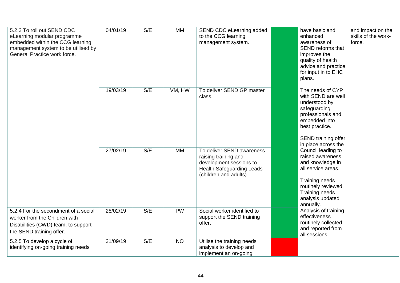| 5.2.3 To roll out SEND CDC<br>eLearning modular programme<br>embedded within the CCG learning<br>management system to be utilised by<br>General Practice work force. | 04/01/19 | S/E | <b>MM</b> | SEND CDC eLearning added<br>to the CCG learning<br>management system.                                                                      | have basic and<br>enhanced<br>awareness of<br>SEND reforms that<br>improves the<br>quality of health<br>advice and practice<br>for input in to EHC<br>plans.                                        | and impact on the<br>skills of the work-<br>force. |
|----------------------------------------------------------------------------------------------------------------------------------------------------------------------|----------|-----|-----------|--------------------------------------------------------------------------------------------------------------------------------------------|-----------------------------------------------------------------------------------------------------------------------------------------------------------------------------------------------------|----------------------------------------------------|
|                                                                                                                                                                      | 19/03/19 | S/E | VM, HW    | To deliver SEND GP master<br>class.                                                                                                        | The needs of CYP<br>with SEND are well<br>understood by<br>safeguarding<br>professionals and<br>embedded into<br>best practice.<br>SEND training offer                                              |                                                    |
|                                                                                                                                                                      | 27/02/19 | S/E | <b>MM</b> | To deliver SEND awareness<br>raising training and<br>development sessions to<br><b>Health Safeguarding Leads</b><br>(children and adults). | in place across the<br>Council leading to<br>raised awareness<br>and knowledge in<br>all service areas.<br>Training needs<br>routinely reviewed.<br>Training needs<br>analysis updated<br>annually. |                                                    |
| 5.2.4 For the secondment of a social<br>worker from the Children with<br>Disabilities (CWD) team, to support<br>the SEND training offer.                             | 28/02/19 | S/E | <b>PW</b> | Social worker identified to<br>support the SEND training<br>offer.                                                                         | Analysis of training<br>effectiveness<br>routinely collected<br>and reported from<br>all sessions.                                                                                                  |                                                    |
| 5.2.5 To develop a cycle of<br>identifying on-going training needs                                                                                                   | 31/09/19 | S/E | <b>NO</b> | Utilise the training needs<br>analysis to develop and<br>implement an on-going                                                             |                                                                                                                                                                                                     |                                                    |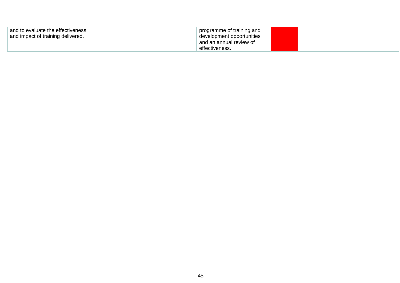| and to evaluate the effectiveness<br>and impact of training delivered. | programme of training and<br>development opportunities |  |  |
|------------------------------------------------------------------------|--------------------------------------------------------|--|--|
|                                                                        | and an annual review of                                |  |  |
|                                                                        | effectiveness.                                         |  |  |